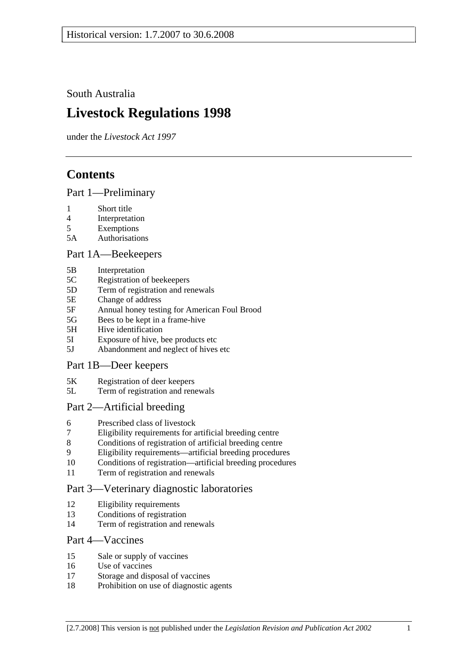South Australia

# **Livestock Regulations 1998**

under the *Livestock Act 1997*

# **Contents**

## Part 1—Preliminary

- 1 Short title
- 4 Interpretation
- 5 Exemptions
- 5A Authorisations

## Part 1A—Beekeepers

- 5B Interpretation
- 5C Registration of beekeepers
- 5D Term of registration and renewals
- 5E Change of address
- 5F Annual honey testing for American Foul Brood
- 5G Bees to be kept in a frame-hive
- 5H Hive identification
- 5I Exposure of hive, bee products etc
- 5J Abandonment and neglect of hives etc

## Part 1B—Deer keepers

- 5K Registration of deer keepers
- 5L Term of registration and renewals

## Part 2—Artificial breeding

- 6 Prescribed class of livestock
- 7 Eligibility requirements for artificial breeding centre
- 8 Conditions of registration of artificial breeding centre
- 9 Eligibility requirements—artificial breeding procedures
- 10 Conditions of registration—artificial breeding procedures
- 11 Term of registration and renewals

## Part 3—Veterinary diagnostic laboratories

- 12 Eligibility requirements
- 13 Conditions of registration
- 14 Term of registration and renewals

## Part 4—Vaccines

- 15 Sale or supply of vaccines
- 16 Use of vaccines
- 17 Storage and disposal of vaccines
- 18 Prohibition on use of diagnostic agents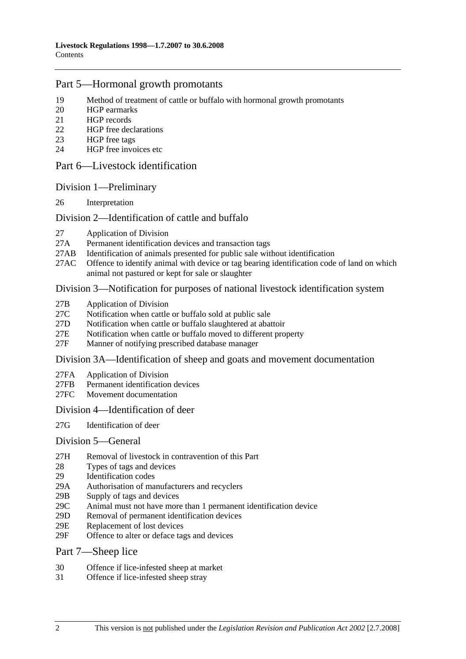## Part 5—Hormonal growth promotants

- 19 Method of treatment of cattle or buffalo with hormonal growth promotants
- 20 HGP earmarks
- 21 HGP records
- 22 HGP free declarations
- 23 HGP free tags
- 24 HGP free invoices etc

### Part 6—Livestock identification

### Division 1—Preliminary

26 Interpretation

### Division 2—Identification of cattle and buffalo

- 27 Application of Division
- 27A Permanent identification devices and transaction tags
- 27AB Identification of animals presented for public sale without identification
- 27AC Offence to identify animal with device or tag bearing identification code of land on which animal not pastured or kept for sale or slaughter

### Division 3—Notification for purposes of national livestock identification system

- 27B Application of Division
- 27C Notification when cattle or buffalo sold at public sale
- 27D Notification when cattle or buffalo slaughtered at abattoir
- 27E Notification when cattle or buffalo moved to different property
- 27F Manner of notifying prescribed database manager

#### Division 3A—Identification of sheep and goats and movement documentation

- 27FA Application of Division
- 27FB Permanent identification devices
- 27FC Movement documentation

#### Division 4—Identification of deer

27G Identification of deer

#### Division 5—General

- 27H Removal of livestock in contravention of this Part
- 28 Types of tags and devices
- 29 Identification codes
- 29A Authorisation of manufacturers and recyclers
- 29B Supply of tags and devices
- 29C Animal must not have more than 1 permanent identification device
- 29D Removal of permanent identification devices
- 29E Replacement of lost devices
- 29F Offence to alter or deface tags and devices

#### Part 7—Sheep lice

- 30 Offence if lice-infested sheep at market
- 31 Offence if lice-infested sheep stray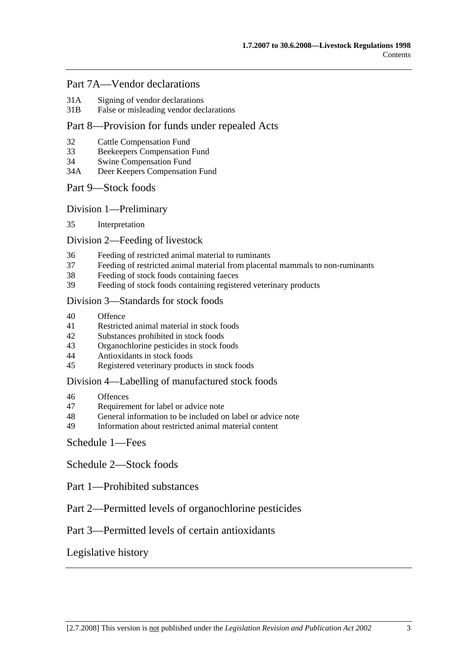## Part 7A—Vendor declarations

- 31A Signing of vendor declarations
- 31B False or misleading vendor declarations

## Part 8—Provision for funds under repealed Acts

- 32 Cattle Compensation Fund
- 33 Beekeepers Compensation Fund
- 34 Swine Compensation Fund
- 34A Deer Keepers Compensation Fund

## Part 9—Stock foods

Division 1—Preliminary

35 Interpretation

### Division 2—Feeding of livestock

- 36 Feeding of restricted animal material to ruminants
- 37 Feeding of restricted animal material from placental mammals to non-ruminants
- 38 Feeding of stock foods containing faeces
- 39 Feeding of stock foods containing registered veterinary products

#### Division 3—Standards for stock foods

- 40 Offence
- 41 Restricted animal material in stock foods
- 42 Substances prohibited in stock foods
- 43 Organochlorine pesticides in stock foods
- 44 Antioxidants in stock foods
- 45 Registered veterinary products in stock foods

#### Division 4—Labelling of manufactured stock foods

- 46 Offences
- 47 Requirement for label or advice note
- 48 General information to be included on label or advice note
- 49 Information about restricted animal material content

## Schedule 1—Fees

Schedule 2—Stock foods

- Part 1—Prohibited substances
- Part 2—Permitted levels of organochlorine pesticides

## Part 3—Permitted levels of certain antioxidants

## Legislative history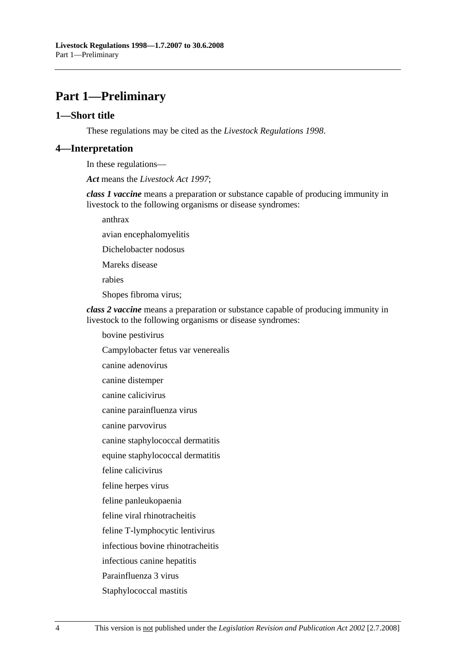# **Part 1—Preliminary**

#### **1—Short title**

These regulations may be cited as the *Livestock Regulations 1998*.

#### **4—Interpretation**

In these regulations—

*Act* means the *Livestock Act 1997*;

*class 1 vaccine* means a preparation or substance capable of producing immunity in livestock to the following organisms or disease syndromes:

anthrax

avian encephalomyelitis

Dichelobacter nodosus

Mareks disease

rabies

Shopes fibroma virus;

*class 2 vaccine* means a preparation or substance capable of producing immunity in livestock to the following organisms or disease syndromes:

bovine pestivirus

Campylobacter fetus var venerealis

canine adenovirus

canine distemper

canine calicivirus

canine parainfluenza virus

canine parvovirus

canine staphylococcal dermatitis

equine staphylococcal dermatitis

feline calicivirus

feline herpes virus

feline panleukopaenia

feline viral rhinotracheitis

feline T-lymphocytic lentivirus

infectious bovine rhinotracheitis

infectious canine hepatitis

Parainfluenza 3 virus

Staphylococcal mastitis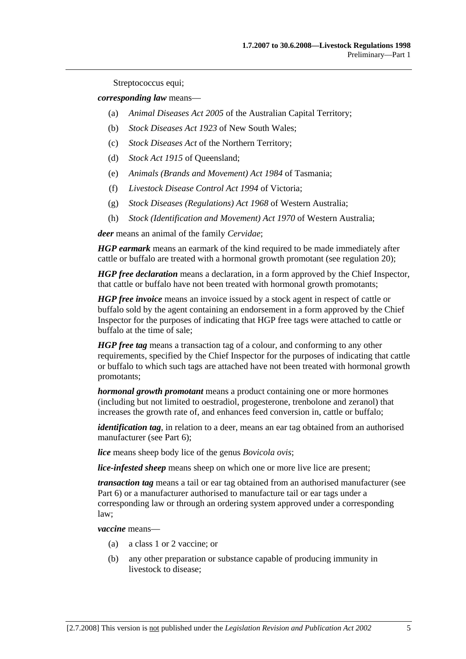Streptococcus equi;

*corresponding law* means—

- (a) *Animal Diseases Act 2005* of the Australian Capital Territory;
- (b) *Stock Diseases Act 1923* of New South Wales;
- (c) *Stock Diseases Act* of the Northern Territory;
- (d) *Stock Act 1915* of Queensland;
- (e) *Animals (Brands and Movement) Act 1984* of Tasmania;
- (f) *Livestock Disease Control Act 1994* of Victoria;
- (g) *Stock Diseases (Regulations) Act 1968* of Western Australia;
- (h) *Stock (Identification and Movement) Act 1970* of Western Australia;

*deer* means an animal of the family *Cervidae*;

*HGP earmark* means an earmark of the kind required to be made immediately after cattle or buffalo are treated with a hormonal growth promotant (see regulation 20);

*HGP free declaration* means a declaration, in a form approved by the Chief Inspector, that cattle or buffalo have not been treated with hormonal growth promotants;

*HGP free invoice* means an invoice issued by a stock agent in respect of cattle or buffalo sold by the agent containing an endorsement in a form approved by the Chief Inspector for the purposes of indicating that HGP free tags were attached to cattle or buffalo at the time of sale;

*HGP free tag* means a transaction tag of a colour, and conforming to any other requirements, specified by the Chief Inspector for the purposes of indicating that cattle or buffalo to which such tags are attached have not been treated with hormonal growth promotants;

*hormonal growth promotant* means a product containing one or more hormones (including but not limited to oestradiol, progesterone, trenbolone and zeranol) that increases the growth rate of, and enhances feed conversion in, cattle or buffalo;

*identification tag*, in relation to a deer, means an ear tag obtained from an authorised manufacturer (see Part 6);

*lice* means sheep body lice of the genus *Bovicola ovis*;

*lice-infested sheep* means sheep on which one or more live lice are present;

*transaction tag* means a tail or ear tag obtained from an authorised manufacturer (see Part 6) or a manufacturer authorised to manufacture tail or ear tags under a corresponding law or through an ordering system approved under a corresponding law;

*vaccine* means—

- (a) a class 1 or 2 vaccine; or
- (b) any other preparation or substance capable of producing immunity in livestock to disease;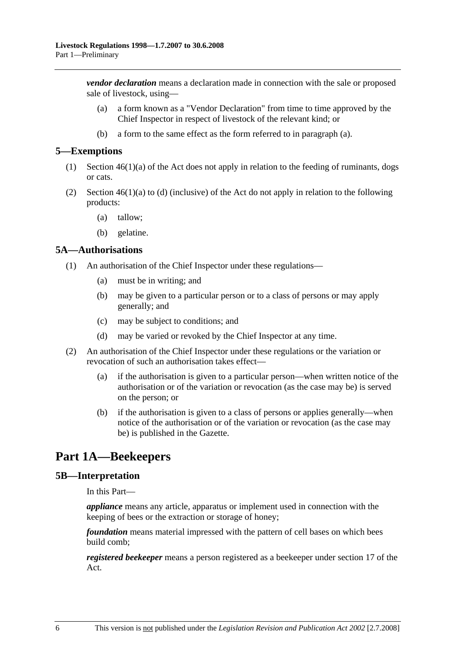*vendor declaration* means a declaration made in connection with the sale or proposed sale of livestock, using—

- (a) a form known as a "Vendor Declaration" from time to time approved by the Chief Inspector in respect of livestock of the relevant kind; or
- (b) a form to the same effect as the form referred to in paragraph (a).

#### **5—Exemptions**

- (1) Section 46(1)(a) of the Act does not apply in relation to the feeding of ruminants, dogs or cats.
- (2) Section  $46(1)(a)$  to (d) (inclusive) of the Act do not apply in relation to the following products:
	- (a) tallow;
	- (b) gelatine.

#### **5A—Authorisations**

- (1) An authorisation of the Chief Inspector under these regulations—
	- (a) must be in writing; and
	- (b) may be given to a particular person or to a class of persons or may apply generally; and
	- (c) may be subject to conditions; and
	- (d) may be varied or revoked by the Chief Inspector at any time.
- (2) An authorisation of the Chief Inspector under these regulations or the variation or revocation of such an authorisation takes effect—
	- (a) if the authorisation is given to a particular person—when written notice of the authorisation or of the variation or revocation (as the case may be) is served on the person; or
	- (b) if the authorisation is given to a class of persons or applies generally—when notice of the authorisation or of the variation or revocation (as the case may be) is published in the Gazette.

# **Part 1A—Beekeepers**

#### **5B—Interpretation**

In this Part—

*appliance* means any article, apparatus or implement used in connection with the keeping of bees or the extraction or storage of honey;

*foundation* means material impressed with the pattern of cell bases on which bees build comb;

*registered beekeeper* means a person registered as a beekeeper under section 17 of the Act.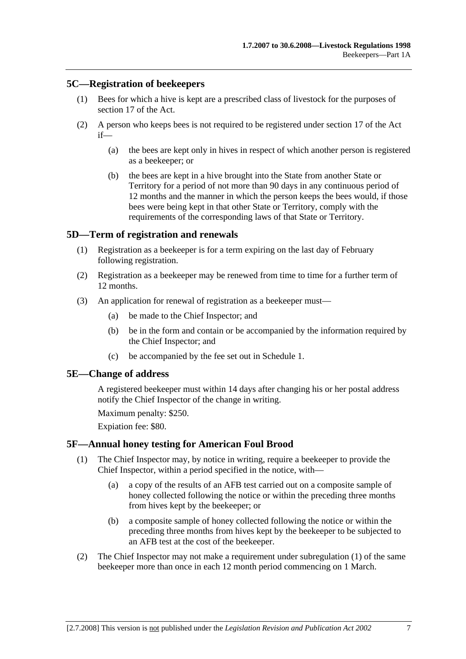## **5C—Registration of beekeepers**

- (1) Bees for which a hive is kept are a prescribed class of livestock for the purposes of section 17 of the Act.
- (2) A person who keeps bees is not required to be registered under section 17 of the Act if—
	- (a) the bees are kept only in hives in respect of which another person is registered as a beekeeper; or
	- (b) the bees are kept in a hive brought into the State from another State or Territory for a period of not more than 90 days in any continuous period of 12 months and the manner in which the person keeps the bees would, if those bees were being kept in that other State or Territory, comply with the requirements of the corresponding laws of that State or Territory.

## **5D—Term of registration and renewals**

- (1) Registration as a beekeeper is for a term expiring on the last day of February following registration.
- (2) Registration as a beekeeper may be renewed from time to time for a further term of 12 months.
- (3) An application for renewal of registration as a beekeeper must—
	- (a) be made to the Chief Inspector; and
	- (b) be in the form and contain or be accompanied by the information required by the Chief Inspector; and
	- (c) be accompanied by the fee set out in Schedule 1.

#### **5E—Change of address**

A registered beekeeper must within 14 days after changing his or her postal address notify the Chief Inspector of the change in writing.

Maximum penalty: \$250.

Expiation fee: \$80.

#### **5F—Annual honey testing for American Foul Brood**

- (1) The Chief Inspector may, by notice in writing, require a beekeeper to provide the Chief Inspector, within a period specified in the notice, with—
	- (a) a copy of the results of an AFB test carried out on a composite sample of honey collected following the notice or within the preceding three months from hives kept by the beekeeper; or
	- (b) a composite sample of honey collected following the notice or within the preceding three months from hives kept by the beekeeper to be subjected to an AFB test at the cost of the beekeeper.
- (2) The Chief Inspector may not make a requirement under subregulation (1) of the same beekeeper more than once in each 12 month period commencing on 1 March.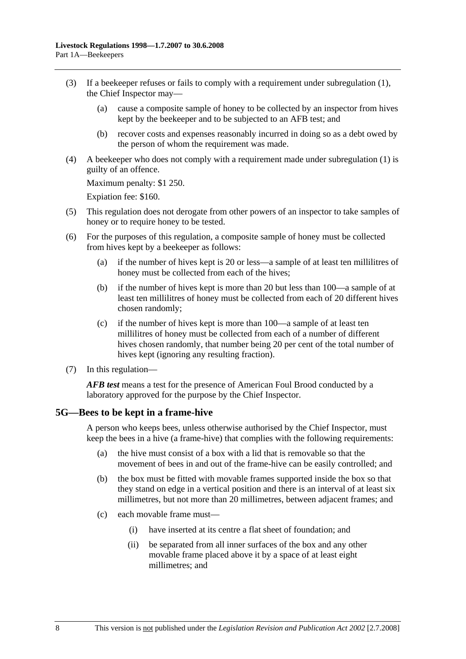- (3) If a beekeeper refuses or fails to comply with a requirement under subregulation (1), the Chief Inspector may—
	- (a) cause a composite sample of honey to be collected by an inspector from hives kept by the beekeeper and to be subjected to an AFB test; and
	- (b) recover costs and expenses reasonably incurred in doing so as a debt owed by the person of whom the requirement was made.
- (4) A beekeeper who does not comply with a requirement made under subregulation (1) is guilty of an offence.

Maximum penalty: \$1 250.

Expiation fee: \$160.

- (5) This regulation does not derogate from other powers of an inspector to take samples of honey or to require honey to be tested.
- (6) For the purposes of this regulation, a composite sample of honey must be collected from hives kept by a beekeeper as follows:
	- (a) if the number of hives kept is 20 or less—a sample of at least ten millilitres of honey must be collected from each of the hives;
	- (b) if the number of hives kept is more than 20 but less than 100—a sample of at least ten millilitres of honey must be collected from each of 20 different hives chosen randomly;
	- (c) if the number of hives kept is more than 100—a sample of at least ten millilitres of honey must be collected from each of a number of different hives chosen randomly, that number being 20 per cent of the total number of hives kept (ignoring any resulting fraction).
- (7) In this regulation—

*AFB test* means a test for the presence of American Foul Brood conducted by a laboratory approved for the purpose by the Chief Inspector.

#### **5G—Bees to be kept in a frame-hive**

A person who keeps bees, unless otherwise authorised by the Chief Inspector, must keep the bees in a hive (a frame-hive) that complies with the following requirements:

- (a) the hive must consist of a box with a lid that is removable so that the movement of bees in and out of the frame-hive can be easily controlled; and
- (b) the box must be fitted with movable frames supported inside the box so that they stand on edge in a vertical position and there is an interval of at least six millimetres, but not more than 20 millimetres, between adjacent frames; and
- (c) each movable frame must—
	- (i) have inserted at its centre a flat sheet of foundation; and
	- (ii) be separated from all inner surfaces of the box and any other movable frame placed above it by a space of at least eight millimetres; and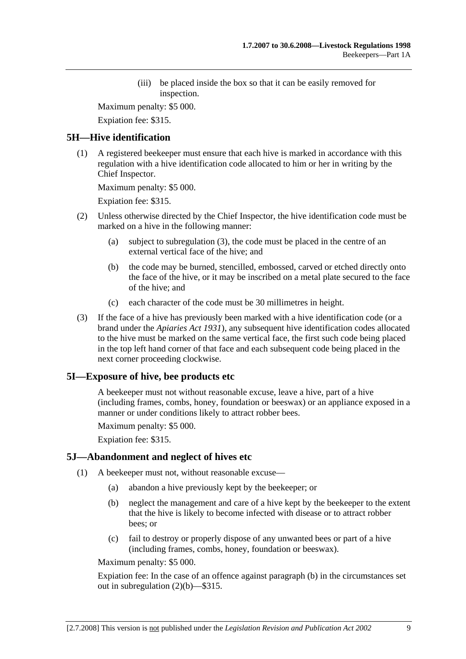(iii) be placed inside the box so that it can be easily removed for inspection.

Maximum penalty: \$5 000.

Expiation fee: \$315.

## **5H—Hive identification**

 (1) A registered beekeeper must ensure that each hive is marked in accordance with this regulation with a hive identification code allocated to him or her in writing by the Chief Inspector.

Maximum penalty: \$5 000.

Expiation fee: \$315.

- (2) Unless otherwise directed by the Chief Inspector, the hive identification code must be marked on a hive in the following manner:
	- (a) subject to subregulation (3), the code must be placed in the centre of an external vertical face of the hive; and
	- (b) the code may be burned, stencilled, embossed, carved or etched directly onto the face of the hive, or it may be inscribed on a metal plate secured to the face of the hive; and
	- (c) each character of the code must be 30 millimetres in height.
- (3) If the face of a hive has previously been marked with a hive identification code (or a brand under the *Apiaries Act 1931*), any subsequent hive identification codes allocated to the hive must be marked on the same vertical face, the first such code being placed in the top left hand corner of that face and each subsequent code being placed in the next corner proceeding clockwise.

## **5I—Exposure of hive, bee products etc**

A beekeeper must not without reasonable excuse, leave a hive, part of a hive (including frames, combs, honey, foundation or beeswax) or an appliance exposed in a manner or under conditions likely to attract robber bees.

Maximum penalty: \$5 000.

Expiation fee: \$315.

## **5J—Abandonment and neglect of hives etc**

- (1) A beekeeper must not, without reasonable excuse—
	- (a) abandon a hive previously kept by the beekeeper; or
	- (b) neglect the management and care of a hive kept by the beekeeper to the extent that the hive is likely to become infected with disease or to attract robber bees; or
	- (c) fail to destroy or properly dispose of any unwanted bees or part of a hive (including frames, combs, honey, foundation or beeswax).

Maximum penalty: \$5 000.

Expiation fee: In the case of an offence against paragraph (b) in the circumstances set out in subregulation (2)(b)—\$315.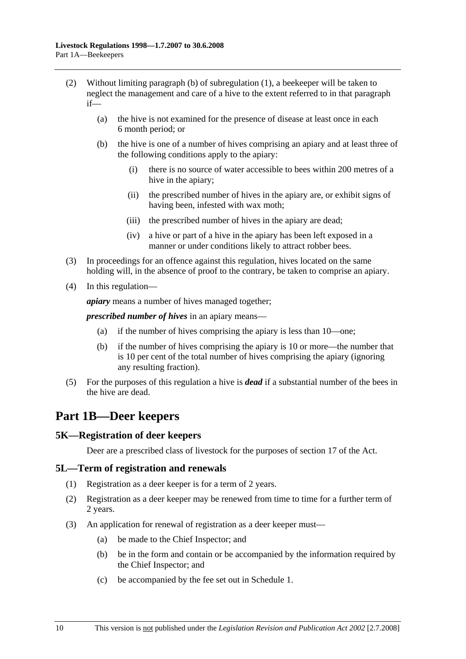- (2) Without limiting paragraph (b) of subregulation (1), a beekeeper will be taken to neglect the management and care of a hive to the extent referred to in that paragraph if—
	- (a) the hive is not examined for the presence of disease at least once in each 6 month period; or
	- (b) the hive is one of a number of hives comprising an apiary and at least three of the following conditions apply to the apiary:
		- (i) there is no source of water accessible to bees within 200 metres of a hive in the apiary;
		- (ii) the prescribed number of hives in the apiary are, or exhibit signs of having been, infested with wax moth;
		- (iii) the prescribed number of hives in the apiary are dead;
		- (iv) a hive or part of a hive in the apiary has been left exposed in a manner or under conditions likely to attract robber bees.
- (3) In proceedings for an offence against this regulation, hives located on the same holding will, in the absence of proof to the contrary, be taken to comprise an apiary.
- (4) In this regulation—

*apiary* means a number of hives managed together;

*prescribed number of hives* in an apiary means—

- (a) if the number of hives comprising the apiary is less than 10—one;
- (b) if the number of hives comprising the apiary is 10 or more—the number that is 10 per cent of the total number of hives comprising the apiary (ignoring any resulting fraction).
- (5) For the purposes of this regulation a hive is *dead* if a substantial number of the bees in the hive are dead.

# **Part 1B—Deer keepers**

## **5K—Registration of deer keepers**

Deer are a prescribed class of livestock for the purposes of section 17 of the Act.

#### **5L—Term of registration and renewals**

- (1) Registration as a deer keeper is for a term of 2 years.
- (2) Registration as a deer keeper may be renewed from time to time for a further term of 2 years.
- (3) An application for renewal of registration as a deer keeper must—
	- (a) be made to the Chief Inspector; and
	- (b) be in the form and contain or be accompanied by the information required by the Chief Inspector; and
	- (c) be accompanied by the fee set out in Schedule 1.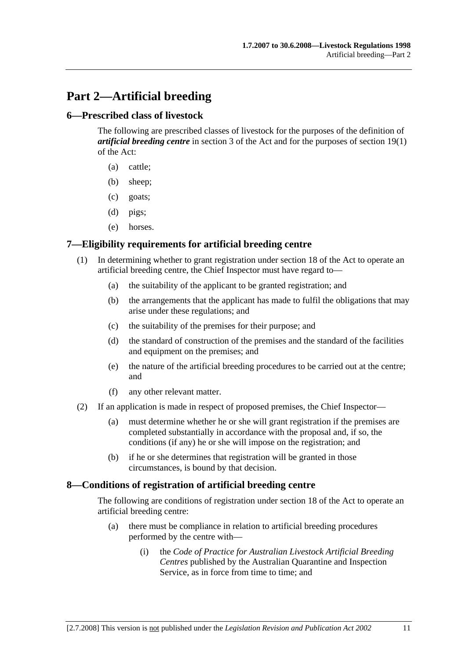# **Part 2—Artificial breeding**

### **6—Prescribed class of livestock**

The following are prescribed classes of livestock for the purposes of the definition of *artificial breeding centre* in section 3 of the Act and for the purposes of section 19(1) of the Act:

- (a) cattle;
- (b) sheep;
- (c) goats;
- (d) pigs;
- (e) horses.

### **7—Eligibility requirements for artificial breeding centre**

- (1) In determining whether to grant registration under section 18 of the Act to operate an artificial breeding centre, the Chief Inspector must have regard to—
	- (a) the suitability of the applicant to be granted registration; and
	- (b) the arrangements that the applicant has made to fulfil the obligations that may arise under these regulations; and
	- (c) the suitability of the premises for their purpose; and
	- (d) the standard of construction of the premises and the standard of the facilities and equipment on the premises; and
	- (e) the nature of the artificial breeding procedures to be carried out at the centre; and
	- (f) any other relevant matter.
- (2) If an application is made in respect of proposed premises, the Chief Inspector—
	- (a) must determine whether he or she will grant registration if the premises are completed substantially in accordance with the proposal and, if so, the conditions (if any) he or she will impose on the registration; and
	- (b) if he or she determines that registration will be granted in those circumstances, is bound by that decision.

#### **8—Conditions of registration of artificial breeding centre**

The following are conditions of registration under section 18 of the Act to operate an artificial breeding centre:

- (a) there must be compliance in relation to artificial breeding procedures performed by the centre with—
	- (i) the *Code of Practice for Australian Livestock Artificial Breeding Centres* published by the Australian Quarantine and Inspection Service, as in force from time to time; and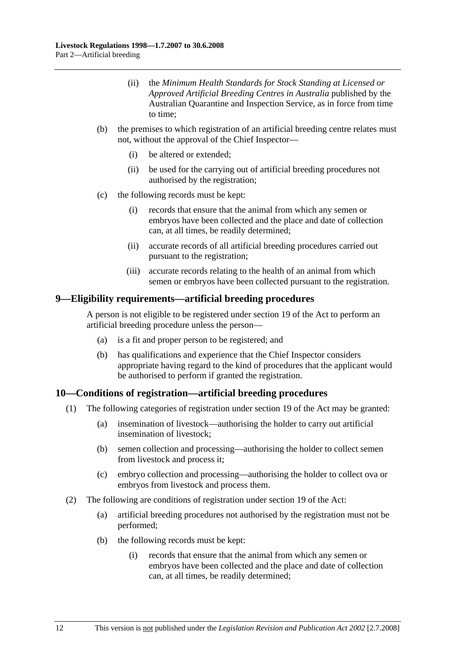- (ii) the *Minimum Health Standards for Stock Standing at Licensed or Approved Artificial Breeding Centres in Australia* published by the Australian Quarantine and Inspection Service, as in force from time to time;
- (b) the premises to which registration of an artificial breeding centre relates must not, without the approval of the Chief Inspector—
	- (i) be altered or extended;
	- (ii) be used for the carrying out of artificial breeding procedures not authorised by the registration;
- (c) the following records must be kept:
	- (i) records that ensure that the animal from which any semen or embryos have been collected and the place and date of collection can, at all times, be readily determined;
	- (ii) accurate records of all artificial breeding procedures carried out pursuant to the registration;
	- (iii) accurate records relating to the health of an animal from which semen or embryos have been collected pursuant to the registration.

#### **9—Eligibility requirements—artificial breeding procedures**

A person is not eligible to be registered under section 19 of the Act to perform an artificial breeding procedure unless the person—

- (a) is a fit and proper person to be registered; and
- (b) has qualifications and experience that the Chief Inspector considers appropriate having regard to the kind of procedures that the applicant would be authorised to perform if granted the registration.

## **10—Conditions of registration—artificial breeding procedures**

- (1) The following categories of registration under section 19 of the Act may be granted:
	- (a) insemination of livestock—authorising the holder to carry out artificial insemination of livestock;
	- (b) semen collection and processing—authorising the holder to collect semen from livestock and process it;
	- (c) embryo collection and processing—authorising the holder to collect ova or embryos from livestock and process them.
- (2) The following are conditions of registration under section 19 of the Act:
	- (a) artificial breeding procedures not authorised by the registration must not be performed;
	- (b) the following records must be kept:
		- (i) records that ensure that the animal from which any semen or embryos have been collected and the place and date of collection can, at all times, be readily determined;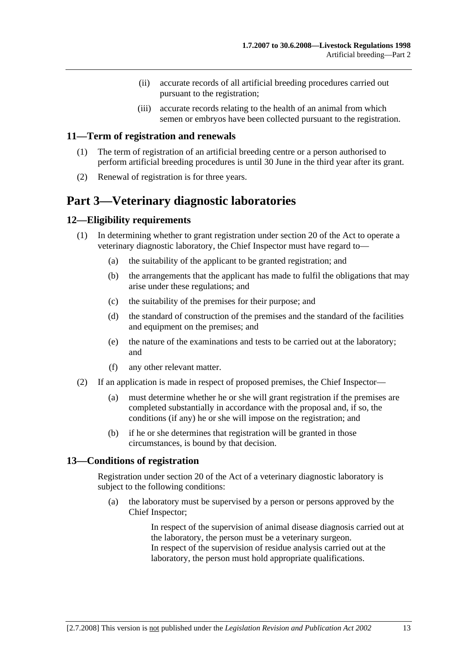- (ii) accurate records of all artificial breeding procedures carried out pursuant to the registration;
- (iii) accurate records relating to the health of an animal from which semen or embryos have been collected pursuant to the registration.

### **11—Term of registration and renewals**

- (1) The term of registration of an artificial breeding centre or a person authorised to perform artificial breeding procedures is until 30 June in the third year after its grant.
- (2) Renewal of registration is for three years.

# **Part 3—Veterinary diagnostic laboratories**

## **12—Eligibility requirements**

- (1) In determining whether to grant registration under section 20 of the Act to operate a veterinary diagnostic laboratory, the Chief Inspector must have regard to—
	- (a) the suitability of the applicant to be granted registration; and
	- (b) the arrangements that the applicant has made to fulfil the obligations that may arise under these regulations; and
	- (c) the suitability of the premises for their purpose; and
	- (d) the standard of construction of the premises and the standard of the facilities and equipment on the premises; and
	- (e) the nature of the examinations and tests to be carried out at the laboratory; and
	- (f) any other relevant matter.
- (2) If an application is made in respect of proposed premises, the Chief Inspector—
	- (a) must determine whether he or she will grant registration if the premises are completed substantially in accordance with the proposal and, if so, the conditions (if any) he or she will impose on the registration; and
	- (b) if he or she determines that registration will be granted in those circumstances, is bound by that decision.

### **13—Conditions of registration**

Registration under section 20 of the Act of a veterinary diagnostic laboratory is subject to the following conditions:

 (a) the laboratory must be supervised by a person or persons approved by the Chief Inspector;

> In respect of the supervision of animal disease diagnosis carried out at the laboratory, the person must be a veterinary surgeon. In respect of the supervision of residue analysis carried out at the laboratory, the person must hold appropriate qualifications.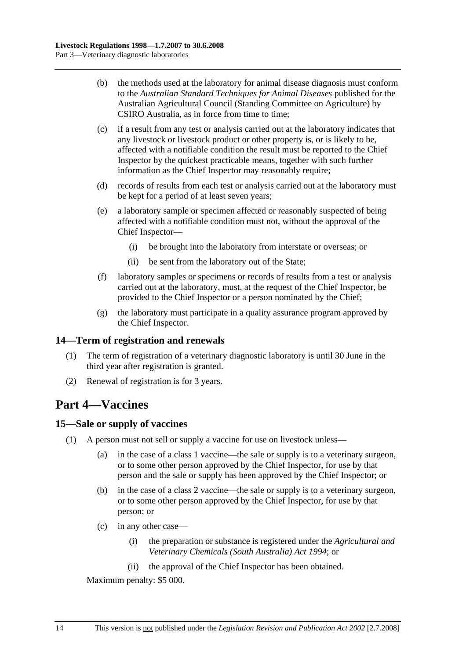- (b) the methods used at the laboratory for animal disease diagnosis must conform to the *Australian Standard Techniques for Animal Diseases* published for the Australian Agricultural Council (Standing Committee on Agriculture) by CSIRO Australia, as in force from time to time;
- (c) if a result from any test or analysis carried out at the laboratory indicates that any livestock or livestock product or other property is, or is likely to be, affected with a notifiable condition the result must be reported to the Chief Inspector by the quickest practicable means, together with such further information as the Chief Inspector may reasonably require;
- (d) records of results from each test or analysis carried out at the laboratory must be kept for a period of at least seven years;
- (e) a laboratory sample or specimen affected or reasonably suspected of being affected with a notifiable condition must not, without the approval of the Chief Inspector—
	- (i) be brought into the laboratory from interstate or overseas; or
	- (ii) be sent from the laboratory out of the State;
- (f) laboratory samples or specimens or records of results from a test or analysis carried out at the laboratory, must, at the request of the Chief Inspector, be provided to the Chief Inspector or a person nominated by the Chief;
- (g) the laboratory must participate in a quality assurance program approved by the Chief Inspector.

## **14—Term of registration and renewals**

- (1) The term of registration of a veterinary diagnostic laboratory is until 30 June in the third year after registration is granted.
- (2) Renewal of registration is for 3 years.

# **Part 4—Vaccines**

#### **15—Sale or supply of vaccines**

- (1) A person must not sell or supply a vaccine for use on livestock unless—
	- (a) in the case of a class 1 vaccine—the sale or supply is to a veterinary surgeon, or to some other person approved by the Chief Inspector, for use by that person and the sale or supply has been approved by the Chief Inspector; or
	- (b) in the case of a class 2 vaccine—the sale or supply is to a veterinary surgeon, or to some other person approved by the Chief Inspector, for use by that person; or
	- (c) in any other case—
		- (i) the preparation or substance is registered under the *Agricultural and Veterinary Chemicals (South Australia) Act 1994*; or
		- (ii) the approval of the Chief Inspector has been obtained.

Maximum penalty: \$5 000.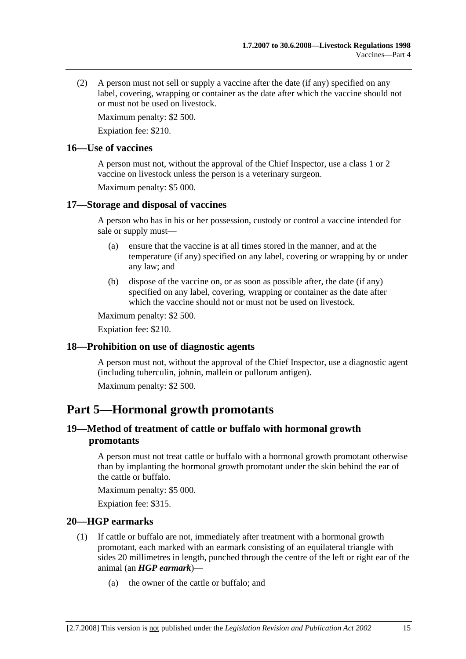(2) A person must not sell or supply a vaccine after the date (if any) specified on any label, covering, wrapping or container as the date after which the vaccine should not or must not be used on livestock.

Maximum penalty: \$2 500.

Expiation fee: \$210.

#### **16—Use of vaccines**

A person must not, without the approval of the Chief Inspector, use a class 1 or 2 vaccine on livestock unless the person is a veterinary surgeon.

Maximum penalty: \$5 000.

### **17—Storage and disposal of vaccines**

A person who has in his or her possession, custody or control a vaccine intended for sale or supply must—

- (a) ensure that the vaccine is at all times stored in the manner, and at the temperature (if any) specified on any label, covering or wrapping by or under any law; and
- (b) dispose of the vaccine on, or as soon as possible after, the date (if any) specified on any label, covering, wrapping or container as the date after which the vaccine should not or must not be used on livestock.

Maximum penalty: \$2 500.

Expiation fee: \$210.

## **18—Prohibition on use of diagnostic agents**

A person must not, without the approval of the Chief Inspector, use a diagnostic agent (including tuberculin, johnin, mallein or pullorum antigen).

Maximum penalty: \$2 500.

# **Part 5—Hormonal growth promotants**

## **19—Method of treatment of cattle or buffalo with hormonal growth promotants**

A person must not treat cattle or buffalo with a hormonal growth promotant otherwise than by implanting the hormonal growth promotant under the skin behind the ear of the cattle or buffalo.

Maximum penalty: \$5 000.

Expiation fee: \$315.

## **20—HGP earmarks**

- (1) If cattle or buffalo are not, immediately after treatment with a hormonal growth promotant, each marked with an earmark consisting of an equilateral triangle with sides 20 millimetres in length, punched through the centre of the left or right ear of the animal (an *HGP earmark*)—
	- (a) the owner of the cattle or buffalo; and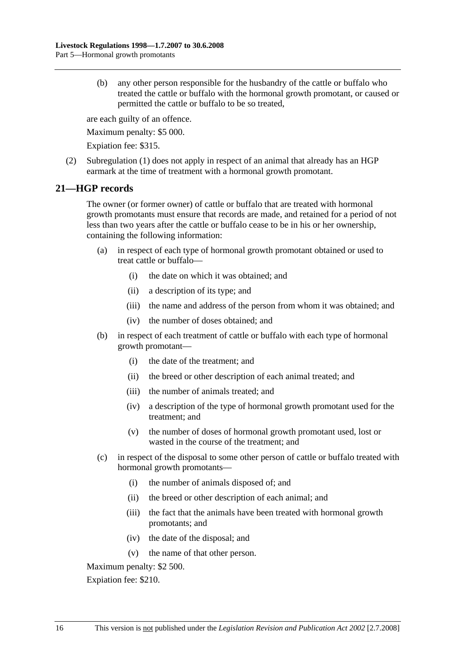(b) any other person responsible for the husbandry of the cattle or buffalo who treated the cattle or buffalo with the hormonal growth promotant, or caused or permitted the cattle or buffalo to be so treated,

are each guilty of an offence.

Maximum penalty: \$5 000.

Expiation fee: \$315.

 (2) Subregulation (1) does not apply in respect of an animal that already has an HGP earmark at the time of treatment with a hormonal growth promotant.

### **21—HGP records**

The owner (or former owner) of cattle or buffalo that are treated with hormonal growth promotants must ensure that records are made, and retained for a period of not less than two years after the cattle or buffalo cease to be in his or her ownership, containing the following information:

- (a) in respect of each type of hormonal growth promotant obtained or used to treat cattle or buffalo—
	- (i) the date on which it was obtained; and
	- (ii) a description of its type; and
	- (iii) the name and address of the person from whom it was obtained; and
	- (iv) the number of doses obtained; and
- (b) in respect of each treatment of cattle or buffalo with each type of hormonal growth promotant—
	- (i) the date of the treatment; and
	- (ii) the breed or other description of each animal treated; and
	- (iii) the number of animals treated; and
	- (iv) a description of the type of hormonal growth promotant used for the treatment; and
	- (v) the number of doses of hormonal growth promotant used, lost or wasted in the course of the treatment; and
- (c) in respect of the disposal to some other person of cattle or buffalo treated with hormonal growth promotants—
	- (i) the number of animals disposed of; and
	- (ii) the breed or other description of each animal; and
	- (iii) the fact that the animals have been treated with hormonal growth promotants; and
	- (iv) the date of the disposal; and
	- (v) the name of that other person.

Maximum penalty: \$2 500.

Expiation fee: \$210.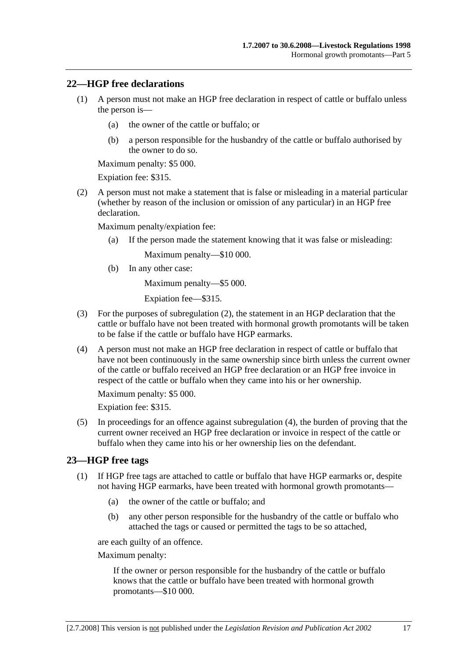### **22—HGP free declarations**

- (1) A person must not make an HGP free declaration in respect of cattle or buffalo unless the person is—
	- (a) the owner of the cattle or buffalo; or
	- (b) a person responsible for the husbandry of the cattle or buffalo authorised by the owner to do so.

Maximum penalty: \$5 000.

Expiation fee: \$315.

 (2) A person must not make a statement that is false or misleading in a material particular (whether by reason of the inclusion or omission of any particular) in an HGP free declaration.

Maximum penalty/expiation fee:

(a) If the person made the statement knowing that it was false or misleading:

Maximum penalty—\$10 000.

(b) In any other case:

Maximum penalty—\$5 000.

Expiation fee—\$315.

- (3) For the purposes of subregulation (2), the statement in an HGP declaration that the cattle or buffalo have not been treated with hormonal growth promotants will be taken to be false if the cattle or buffalo have HGP earmarks.
- (4) A person must not make an HGP free declaration in respect of cattle or buffalo that have not been continuously in the same ownership since birth unless the current owner of the cattle or buffalo received an HGP free declaration or an HGP free invoice in respect of the cattle or buffalo when they came into his or her ownership.

Maximum penalty: \$5 000.

Expiation fee: \$315.

 (5) In proceedings for an offence against subregulation (4), the burden of proving that the current owner received an HGP free declaration or invoice in respect of the cattle or buffalo when they came into his or her ownership lies on the defendant.

#### **23—HGP free tags**

- (1) If HGP free tags are attached to cattle or buffalo that have HGP earmarks or, despite not having HGP earmarks, have been treated with hormonal growth promotants—
	- (a) the owner of the cattle or buffalo; and
	- (b) any other person responsible for the husbandry of the cattle or buffalo who attached the tags or caused or permitted the tags to be so attached,

are each guilty of an offence.

Maximum penalty:

If the owner or person responsible for the husbandry of the cattle or buffalo knows that the cattle or buffalo have been treated with hormonal growth promotants—\$10 000.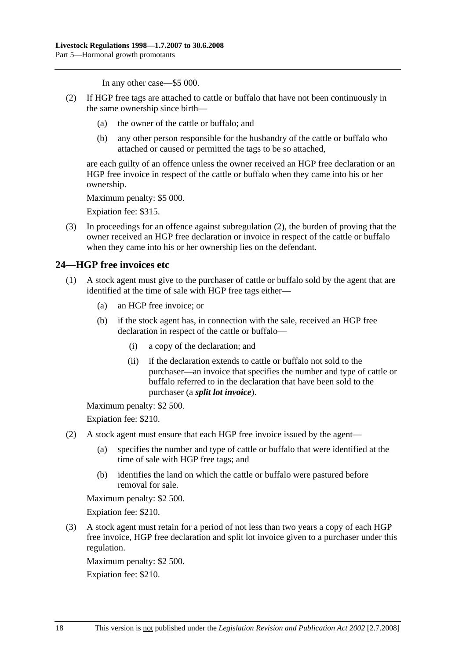In any other case—\$5 000.

- (2) If HGP free tags are attached to cattle or buffalo that have not been continuously in the same ownership since birth—
	- (a) the owner of the cattle or buffalo; and
	- (b) any other person responsible for the husbandry of the cattle or buffalo who attached or caused or permitted the tags to be so attached,

are each guilty of an offence unless the owner received an HGP free declaration or an HGP free invoice in respect of the cattle or buffalo when they came into his or her ownership.

Maximum penalty: \$5 000.

Expiation fee: \$315.

 (3) In proceedings for an offence against subregulation (2), the burden of proving that the owner received an HGP free declaration or invoice in respect of the cattle or buffalo when they came into his or her ownership lies on the defendant.

## **24—HGP free invoices etc**

- (1) A stock agent must give to the purchaser of cattle or buffalo sold by the agent that are identified at the time of sale with HGP free tags either—
	- (a) an HGP free invoice; or
	- (b) if the stock agent has, in connection with the sale, received an HGP free declaration in respect of the cattle or buffalo—
		- (i) a copy of the declaration; and
		- (ii) if the declaration extends to cattle or buffalo not sold to the purchaser—an invoice that specifies the number and type of cattle or buffalo referred to in the declaration that have been sold to the purchaser (a *split lot invoice*).

Maximum penalty: \$2 500.

Expiation fee: \$210.

- (2) A stock agent must ensure that each HGP free invoice issued by the agent—
	- (a) specifies the number and type of cattle or buffalo that were identified at the time of sale with HGP free tags; and
	- (b) identifies the land on which the cattle or buffalo were pastured before removal for sale.

Maximum penalty: \$2 500.

Expiation fee: \$210.

 (3) A stock agent must retain for a period of not less than two years a copy of each HGP free invoice, HGP free declaration and split lot invoice given to a purchaser under this regulation.

Maximum penalty: \$2 500.

Expiation fee: \$210.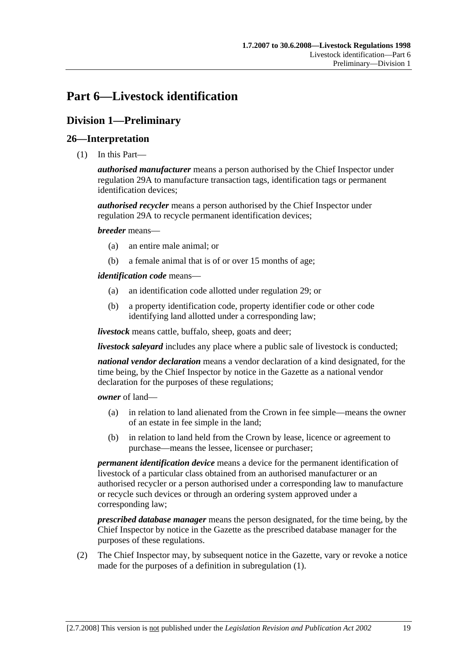# **Part 6—Livestock identification**

# **Division 1—Preliminary**

## **26—Interpretation**

(1) In this Part—

*authorised manufacturer* means a person authorised by the Chief Inspector under regulation 29A to manufacture transaction tags, identification tags or permanent identification devices;

*authorised recycler* means a person authorised by the Chief Inspector under regulation 29A to recycle permanent identification devices;

*breeder* means—

- (a) an entire male animal; or
- (b) a female animal that is of or over 15 months of age;

*identification code* means—

- (a) an identification code allotted under regulation 29; or
- (b) a property identification code, property identifier code or other code identifying land allotted under a corresponding law;

*livestock* means cattle, buffalo, sheep, goats and deer;

*livestock saleyard* includes any place where a public sale of livestock is conducted;

*national vendor declaration* means a vendor declaration of a kind designated, for the time being, by the Chief Inspector by notice in the Gazette as a national vendor declaration for the purposes of these regulations;

*owner* of land—

- (a) in relation to land alienated from the Crown in fee simple—means the owner of an estate in fee simple in the land;
- (b) in relation to land held from the Crown by lease, licence or agreement to purchase—means the lessee, licensee or purchaser;

*permanent identification device* means a device for the permanent identification of livestock of a particular class obtained from an authorised manufacturer or an authorised recycler or a person authorised under a corresponding law to manufacture or recycle such devices or through an ordering system approved under a corresponding law;

*prescribed database manager* means the person designated, for the time being, by the Chief Inspector by notice in the Gazette as the prescribed database manager for the purposes of these regulations.

 (2) The Chief Inspector may, by subsequent notice in the Gazette, vary or revoke a notice made for the purposes of a definition in subregulation (1).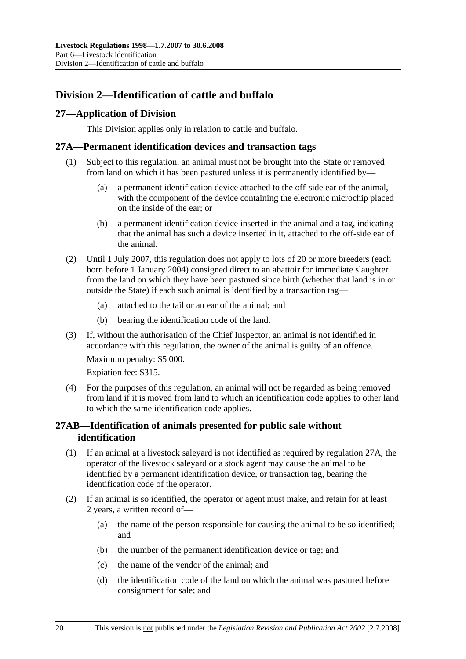# **Division 2—Identification of cattle and buffalo**

## **27—Application of Division**

This Division applies only in relation to cattle and buffalo.

## **27A—Permanent identification devices and transaction tags**

- (1) Subject to this regulation, an animal must not be brought into the State or removed from land on which it has been pastured unless it is permanently identified by—
	- (a) a permanent identification device attached to the off-side ear of the animal, with the component of the device containing the electronic microchip placed on the inside of the ear; or
	- (b) a permanent identification device inserted in the animal and a tag, indicating that the animal has such a device inserted in it, attached to the off-side ear of the animal.
- (2) Until 1 July 2007, this regulation does not apply to lots of 20 or more breeders (each born before 1 January 2004) consigned direct to an abattoir for immediate slaughter from the land on which they have been pastured since birth (whether that land is in or outside the State) if each such animal is identified by a transaction tag—
	- (a) attached to the tail or an ear of the animal; and
	- (b) bearing the identification code of the land.
- (3) If, without the authorisation of the Chief Inspector, an animal is not identified in accordance with this regulation, the owner of the animal is guilty of an offence.

Maximum penalty: \$5 000.

Expiation fee: \$315.

 (4) For the purposes of this regulation, an animal will not be regarded as being removed from land if it is moved from land to which an identification code applies to other land to which the same identification code applies.

## **27AB—Identification of animals presented for public sale without identification**

- (1) If an animal at a livestock saleyard is not identified as required by regulation 27A, the operator of the livestock saleyard or a stock agent may cause the animal to be identified by a permanent identification device, or transaction tag, bearing the identification code of the operator.
- (2) If an animal is so identified, the operator or agent must make, and retain for at least 2 years, a written record of—
	- (a) the name of the person responsible for causing the animal to be so identified; and
	- (b) the number of the permanent identification device or tag; and
	- (c) the name of the vendor of the animal; and
	- (d) the identification code of the land on which the animal was pastured before consignment for sale; and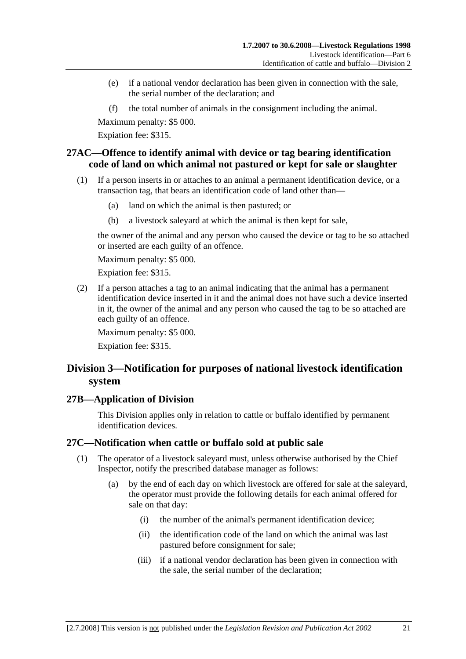- (e) if a national vendor declaration has been given in connection with the sale, the serial number of the declaration; and
- (f) the total number of animals in the consignment including the animal.

Expiation fee: \$315.

## **27AC—Offence to identify animal with device or tag bearing identification code of land on which animal not pastured or kept for sale or slaughter**

- (1) If a person inserts in or attaches to an animal a permanent identification device, or a transaction tag, that bears an identification code of land other than—
	- (a) land on which the animal is then pastured; or
	- (b) a livestock saleyard at which the animal is then kept for sale,

the owner of the animal and any person who caused the device or tag to be so attached or inserted are each guilty of an offence.

Maximum penalty: \$5 000.

Expiation fee: \$315.

 (2) If a person attaches a tag to an animal indicating that the animal has a permanent identification device inserted in it and the animal does not have such a device inserted in it, the owner of the animal and any person who caused the tag to be so attached are each guilty of an offence.

Maximum penalty: \$5 000. Expiation fee: \$315.

# **Division 3—Notification for purposes of national livestock identification system**

#### **27B—Application of Division**

This Division applies only in relation to cattle or buffalo identified by permanent identification devices.

## **27C—Notification when cattle or buffalo sold at public sale**

- (1) The operator of a livestock saleyard must, unless otherwise authorised by the Chief Inspector, notify the prescribed database manager as follows:
	- (a) by the end of each day on which livestock are offered for sale at the saleyard, the operator must provide the following details for each animal offered for sale on that day:
		- (i) the number of the animal's permanent identification device;
		- (ii) the identification code of the land on which the animal was last pastured before consignment for sale;
		- (iii) if a national vendor declaration has been given in connection with the sale, the serial number of the declaration;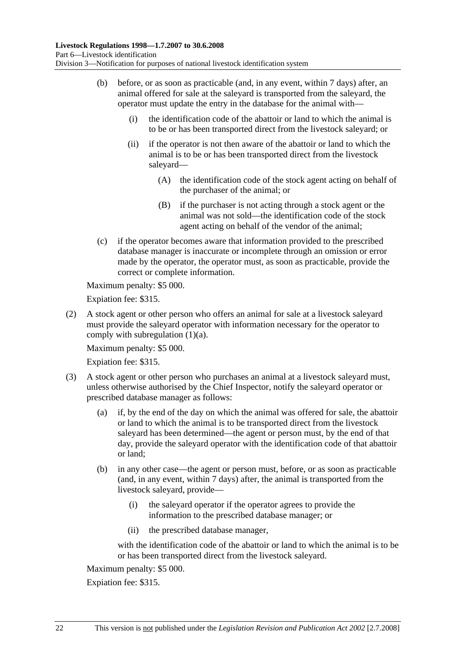- (b) before, or as soon as practicable (and, in any event, within 7 days) after, an animal offered for sale at the saleyard is transported from the saleyard, the operator must update the entry in the database for the animal with—
	- (i) the identification code of the abattoir or land to which the animal is to be or has been transported direct from the livestock saleyard; or
	- (ii) if the operator is not then aware of the abattoir or land to which the animal is to be or has been transported direct from the livestock saleyard—
		- (A) the identification code of the stock agent acting on behalf of the purchaser of the animal; or
		- (B) if the purchaser is not acting through a stock agent or the animal was not sold—the identification code of the stock agent acting on behalf of the vendor of the animal;
- (c) if the operator becomes aware that information provided to the prescribed database manager is inaccurate or incomplete through an omission or error made by the operator, the operator must, as soon as practicable, provide the correct or complete information.

Expiation fee: \$315.

 (2) A stock agent or other person who offers an animal for sale at a livestock saleyard must provide the saleyard operator with information necessary for the operator to comply with subregulation (1)(a).

Maximum penalty: \$5 000.

Expiation fee: \$315.

- (3) A stock agent or other person who purchases an animal at a livestock saleyard must, unless otherwise authorised by the Chief Inspector, notify the saleyard operator or prescribed database manager as follows:
	- (a) if, by the end of the day on which the animal was offered for sale, the abattoir or land to which the animal is to be transported direct from the livestock saleyard has been determined—the agent or person must, by the end of that day, provide the saleyard operator with the identification code of that abattoir or land;
	- (b) in any other case—the agent or person must, before, or as soon as practicable (and, in any event, within 7 days) after, the animal is transported from the livestock saleyard, provide—
		- (i) the saleyard operator if the operator agrees to provide the information to the prescribed database manager; or
		- (ii) the prescribed database manager,

with the identification code of the abattoir or land to which the animal is to be or has been transported direct from the livestock saleyard.

Maximum penalty: \$5 000.

Expiation fee: \$315.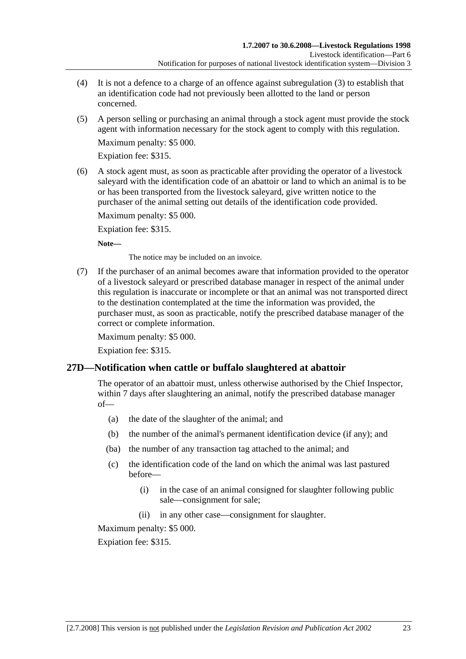- (4) It is not a defence to a charge of an offence against subregulation (3) to establish that an identification code had not previously been allotted to the land or person concerned.
- (5) A person selling or purchasing an animal through a stock agent must provide the stock agent with information necessary for the stock agent to comply with this regulation.

Expiation fee: \$315.

 (6) A stock agent must, as soon as practicable after providing the operator of a livestock saleyard with the identification code of an abattoir or land to which an animal is to be or has been transported from the livestock saleyard, give written notice to the purchaser of the animal setting out details of the identification code provided.

Maximum penalty: \$5 000.

Expiation fee: \$315.

**Note—** 

The notice may be included on an invoice.

 (7) If the purchaser of an animal becomes aware that information provided to the operator of a livestock saleyard or prescribed database manager in respect of the animal under this regulation is inaccurate or incomplete or that an animal was not transported direct to the destination contemplated at the time the information was provided, the purchaser must, as soon as practicable, notify the prescribed database manager of the correct or complete information.

Maximum penalty: \$5 000.

Expiation fee: \$315.

## **27D—Notification when cattle or buffalo slaughtered at abattoir**

The operator of an abattoir must, unless otherwise authorised by the Chief Inspector, within 7 days after slaughtering an animal, notify the prescribed database manager of—

- (a) the date of the slaughter of the animal; and
- (b) the number of the animal's permanent identification device (if any); and
- (ba) the number of any transaction tag attached to the animal; and
- (c) the identification code of the land on which the animal was last pastured before—
	- (i) in the case of an animal consigned for slaughter following public sale—consignment for sale;
	- (ii) in any other case—consignment for slaughter.

Maximum penalty: \$5 000.

Expiation fee: \$315.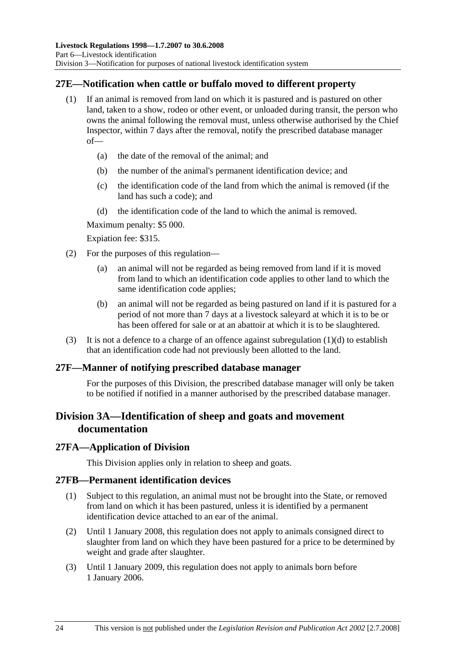## **27E—Notification when cattle or buffalo moved to different property**

- (1) If an animal is removed from land on which it is pastured and is pastured on other land, taken to a show, rodeo or other event, or unloaded during transit, the person who owns the animal following the removal must, unless otherwise authorised by the Chief Inspector, within 7 days after the removal, notify the prescribed database manager of—
	- (a) the date of the removal of the animal; and
	- (b) the number of the animal's permanent identification device; and
	- (c) the identification code of the land from which the animal is removed (if the land has such a code); and
	- (d) the identification code of the land to which the animal is removed.

Maximum penalty: \$5 000.

Expiation fee: \$315.

- (2) For the purposes of this regulation—
	- (a) an animal will not be regarded as being removed from land if it is moved from land to which an identification code applies to other land to which the same identification code applies;
	- (b) an animal will not be regarded as being pastured on land if it is pastured for a period of not more than 7 days at a livestock saleyard at which it is to be or has been offered for sale or at an abattoir at which it is to be slaughtered.
- (3) It is not a defence to a charge of an offence against subregulation  $(1)(d)$  to establish that an identification code had not previously been allotted to the land.

#### **27F—Manner of notifying prescribed database manager**

For the purposes of this Division, the prescribed database manager will only be taken to be notified if notified in a manner authorised by the prescribed database manager.

# **Division 3A—Identification of sheep and goats and movement documentation**

#### **27FA—Application of Division**

This Division applies only in relation to sheep and goats.

#### **27FB—Permanent identification devices**

- (1) Subject to this regulation, an animal must not be brought into the State, or removed from land on which it has been pastured, unless it is identified by a permanent identification device attached to an ear of the animal.
- (2) Until 1 January 2008, this regulation does not apply to animals consigned direct to slaughter from land on which they have been pastured for a price to be determined by weight and grade after slaughter.
- (3) Until 1 January 2009, this regulation does not apply to animals born before 1 January 2006.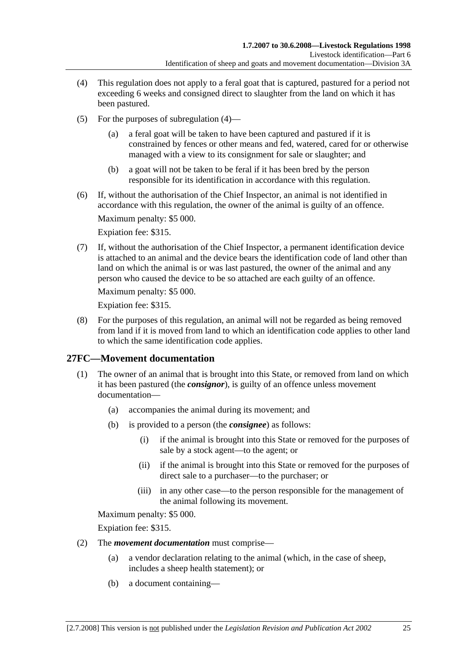- (4) This regulation does not apply to a feral goat that is captured, pastured for a period not exceeding 6 weeks and consigned direct to slaughter from the land on which it has been pastured.
- (5) For the purposes of subregulation (4)
	- a feral goat will be taken to have been captured and pastured if it is constrained by fences or other means and fed, watered, cared for or otherwise managed with a view to its consignment for sale or slaughter; and
	- (b) a goat will not be taken to be feral if it has been bred by the person responsible for its identification in accordance with this regulation.
- (6) If, without the authorisation of the Chief Inspector, an animal is not identified in accordance with this regulation, the owner of the animal is guilty of an offence.

Expiation fee: \$315.

 (7) If, without the authorisation of the Chief Inspector, a permanent identification device is attached to an animal and the device bears the identification code of land other than land on which the animal is or was last pastured, the owner of the animal and any person who caused the device to be so attached are each guilty of an offence.

Maximum penalty: \$5 000.

Expiation fee: \$315.

 (8) For the purposes of this regulation, an animal will not be regarded as being removed from land if it is moved from land to which an identification code applies to other land to which the same identification code applies.

## **27FC—Movement documentation**

- (1) The owner of an animal that is brought into this State, or removed from land on which it has been pastured (the *consignor*), is guilty of an offence unless movement documentation—
	- (a) accompanies the animal during its movement; and
	- (b) is provided to a person (the *consignee*) as follows:
		- (i) if the animal is brought into this State or removed for the purposes of sale by a stock agent—to the agent; or
		- (ii) if the animal is brought into this State or removed for the purposes of direct sale to a purchaser—to the purchaser; or
		- (iii) in any other case—to the person responsible for the management of the animal following its movement.

Maximum penalty: \$5 000.

Expiation fee: \$315.

- (2) The *movement documentation* must comprise—
	- (a) a vendor declaration relating to the animal (which, in the case of sheep, includes a sheep health statement); or
	- (b) a document containing—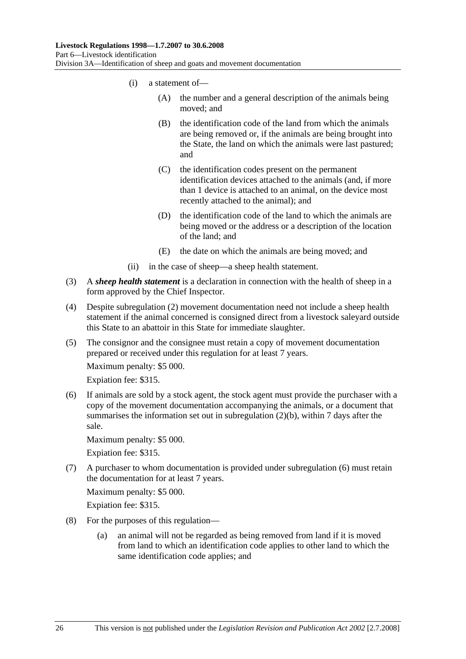- (i) a statement of—
	- (A) the number and a general description of the animals being moved; and
	- (B) the identification code of the land from which the animals are being removed or, if the animals are being brought into the State, the land on which the animals were last pastured; and
	- (C) the identification codes present on the permanent identification devices attached to the animals (and, if more than 1 device is attached to an animal, on the device most recently attached to the animal); and
	- (D) the identification code of the land to which the animals are being moved or the address or a description of the location of the land; and
	- (E) the date on which the animals are being moved; and
- (ii) in the case of sheep—a sheep health statement.
- (3) A *sheep health statement* is a declaration in connection with the health of sheep in a form approved by the Chief Inspector.
- (4) Despite subregulation (2) movement documentation need not include a sheep health statement if the animal concerned is consigned direct from a livestock saleyard outside this State to an abattoir in this State for immediate slaughter.
- (5) The consignor and the consignee must retain a copy of movement documentation prepared or received under this regulation for at least 7 years.

Expiation fee: \$315.

 (6) If animals are sold by a stock agent, the stock agent must provide the purchaser with a copy of the movement documentation accompanying the animals, or a document that summarises the information set out in subregulation (2)(b), within 7 days after the sale.

Maximum penalty: \$5 000.

Expiation fee: \$315.

 (7) A purchaser to whom documentation is provided under subregulation (6) must retain the documentation for at least 7 years.

Maximum penalty: \$5 000.

Expiation fee: \$315.

- (8) For the purposes of this regulation—
	- (a) an animal will not be regarded as being removed from land if it is moved from land to which an identification code applies to other land to which the same identification code applies; and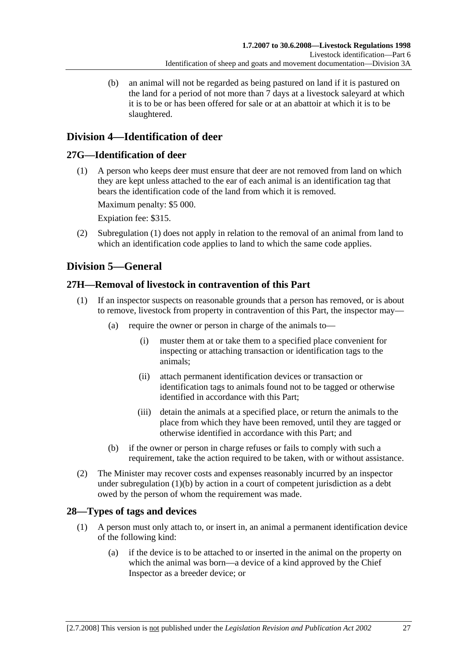(b) an animal will not be regarded as being pastured on land if it is pastured on the land for a period of not more than 7 days at a livestock saleyard at which it is to be or has been offered for sale or at an abattoir at which it is to be slaughtered.

# **Division 4—Identification of deer**

## **27G—Identification of deer**

 (1) A person who keeps deer must ensure that deer are not removed from land on which they are kept unless attached to the ear of each animal is an identification tag that bears the identification code of the land from which it is removed.

Maximum penalty: \$5 000.

Expiation fee: \$315.

 (2) Subregulation (1) does not apply in relation to the removal of an animal from land to which an identification code applies to land to which the same code applies.

# **Division 5—General**

## **27H—Removal of livestock in contravention of this Part**

- (1) If an inspector suspects on reasonable grounds that a person has removed, or is about to remove, livestock from property in contravention of this Part, the inspector may—
	- (a) require the owner or person in charge of the animals to—
		- (i) muster them at or take them to a specified place convenient for inspecting or attaching transaction or identification tags to the animals;
		- (ii) attach permanent identification devices or transaction or identification tags to animals found not to be tagged or otherwise identified in accordance with this Part;
		- (iii) detain the animals at a specified place, or return the animals to the place from which they have been removed, until they are tagged or otherwise identified in accordance with this Part; and
	- (b) if the owner or person in charge refuses or fails to comply with such a requirement, take the action required to be taken, with or without assistance.
- (2) The Minister may recover costs and expenses reasonably incurred by an inspector under subregulation (1)(b) by action in a court of competent jurisdiction as a debt owed by the person of whom the requirement was made.

# **28—Types of tags and devices**

- (1) A person must only attach to, or insert in, an animal a permanent identification device of the following kind:
	- (a) if the device is to be attached to or inserted in the animal on the property on which the animal was born—a device of a kind approved by the Chief Inspector as a breeder device; or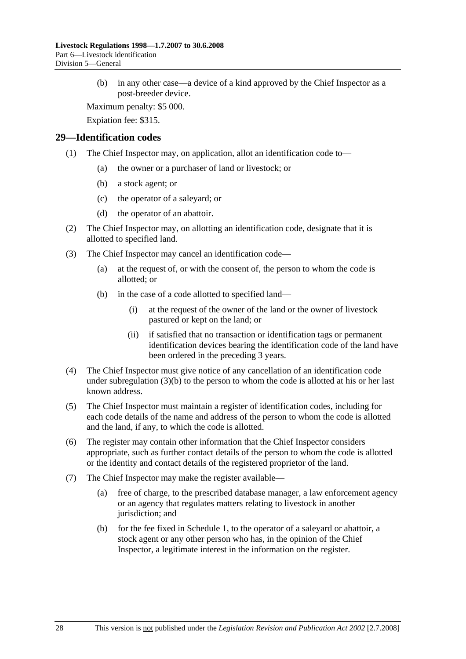(b) in any other case—a device of a kind approved by the Chief Inspector as a post-breeder device.

Maximum penalty: \$5 000.

Expiation fee: \$315.

#### **29—Identification codes**

- (1) The Chief Inspector may, on application, allot an identification code to—
	- (a) the owner or a purchaser of land or livestock; or
	- (b) a stock agent; or
	- (c) the operator of a saleyard; or
	- (d) the operator of an abattoir.
- (2) The Chief Inspector may, on allotting an identification code, designate that it is allotted to specified land.
- (3) The Chief Inspector may cancel an identification code—
	- (a) at the request of, or with the consent of, the person to whom the code is allotted; or
	- (b) in the case of a code allotted to specified land—
		- (i) at the request of the owner of the land or the owner of livestock pastured or kept on the land; or
		- (ii) if satisfied that no transaction or identification tags or permanent identification devices bearing the identification code of the land have been ordered in the preceding 3 years.
- (4) The Chief Inspector must give notice of any cancellation of an identification code under subregulation  $(3)(b)$  to the person to whom the code is allotted at his or her last known address.
- (5) The Chief Inspector must maintain a register of identification codes, including for each code details of the name and address of the person to whom the code is allotted and the land, if any, to which the code is allotted.
- (6) The register may contain other information that the Chief Inspector considers appropriate, such as further contact details of the person to whom the code is allotted or the identity and contact details of the registered proprietor of the land.
- (7) The Chief Inspector may make the register available—
	- (a) free of charge, to the prescribed database manager, a law enforcement agency or an agency that regulates matters relating to livestock in another jurisdiction; and
	- (b) for the fee fixed in Schedule 1, to the operator of a saleyard or abattoir, a stock agent or any other person who has, in the opinion of the Chief Inspector, a legitimate interest in the information on the register.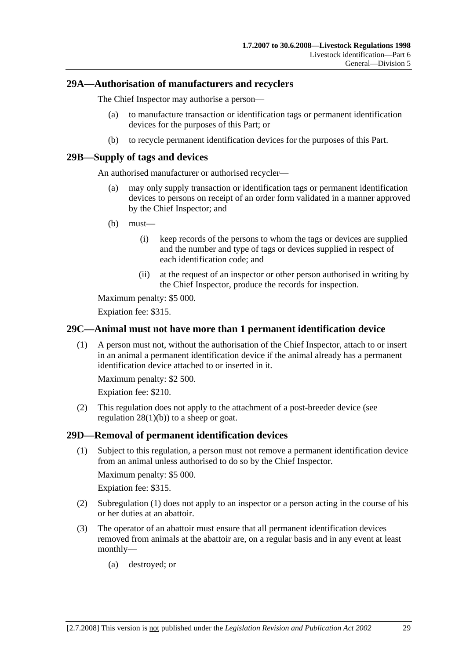### **29A—Authorisation of manufacturers and recyclers**

The Chief Inspector may authorise a person—

- (a) to manufacture transaction or identification tags or permanent identification devices for the purposes of this Part; or
- (b) to recycle permanent identification devices for the purposes of this Part.

### **29B—Supply of tags and devices**

An authorised manufacturer or authorised recycler—

- (a) may only supply transaction or identification tags or permanent identification devices to persons on receipt of an order form validated in a manner approved by the Chief Inspector; and
- (b) must—
	- (i) keep records of the persons to whom the tags or devices are supplied and the number and type of tags or devices supplied in respect of each identification code; and
	- (ii) at the request of an inspector or other person authorised in writing by the Chief Inspector, produce the records for inspection.

Maximum penalty: \$5 000.

Expiation fee: \$315.

### **29C—Animal must not have more than 1 permanent identification device**

 (1) A person must not, without the authorisation of the Chief Inspector, attach to or insert in an animal a permanent identification device if the animal already has a permanent identification device attached to or inserted in it.

Maximum penalty: \$2 500.

Expiation fee: \$210.

 (2) This regulation does not apply to the attachment of a post-breeder device (see regulation  $28(1)(b)$  to a sheep or goat.

#### **29D—Removal of permanent identification devices**

 (1) Subject to this regulation, a person must not remove a permanent identification device from an animal unless authorised to do so by the Chief Inspector.

Maximum penalty: \$5 000.

Expiation fee: \$315.

- (2) Subregulation (1) does not apply to an inspector or a person acting in the course of his or her duties at an abattoir.
- (3) The operator of an abattoir must ensure that all permanent identification devices removed from animals at the abattoir are, on a regular basis and in any event at least monthly—
	- (a) destroyed; or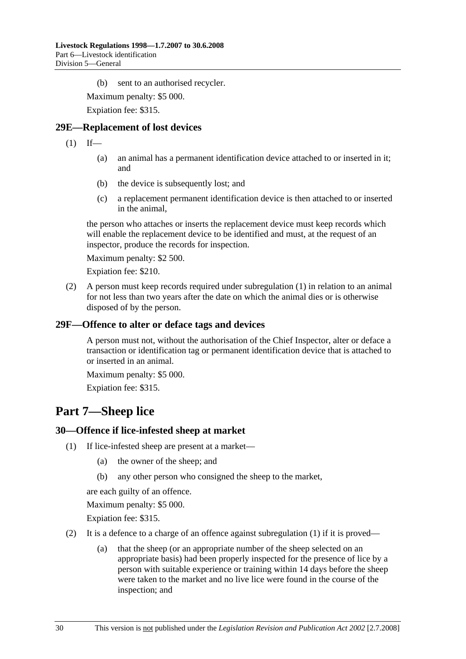(b) sent to an authorised recycler.

Maximum penalty: \$5 000.

Expiation fee: \$315.

### **29E—Replacement of lost devices**

 $(1)$  If—

- (a) an animal has a permanent identification device attached to or inserted in it; and
- (b) the device is subsequently lost; and
- (c) a replacement permanent identification device is then attached to or inserted in the animal,

the person who attaches or inserts the replacement device must keep records which will enable the replacement device to be identified and must, at the request of an inspector, produce the records for inspection.

Maximum penalty: \$2 500.

Expiation fee: \$210.

 (2) A person must keep records required under subregulation (1) in relation to an animal for not less than two years after the date on which the animal dies or is otherwise disposed of by the person.

### **29F—Offence to alter or deface tags and devices**

A person must not, without the authorisation of the Chief Inspector, alter or deface a transaction or identification tag or permanent identification device that is attached to or inserted in an animal.

Maximum penalty: \$5 000.

Expiation fee: \$315.

# **Part 7—Sheep lice**

#### **30—Offence if lice-infested sheep at market**

- (1) If lice-infested sheep are present at a market—
	- (a) the owner of the sheep; and
	- (b) any other person who consigned the sheep to the market,

are each guilty of an offence.

Maximum penalty: \$5 000.

Expiation fee: \$315.

- (2) It is a defence to a charge of an offence against subregulation  $(1)$  if it is proved—
	- (a) that the sheep (or an appropriate number of the sheep selected on an appropriate basis) had been properly inspected for the presence of lice by a person with suitable experience or training within 14 days before the sheep were taken to the market and no live lice were found in the course of the inspection; and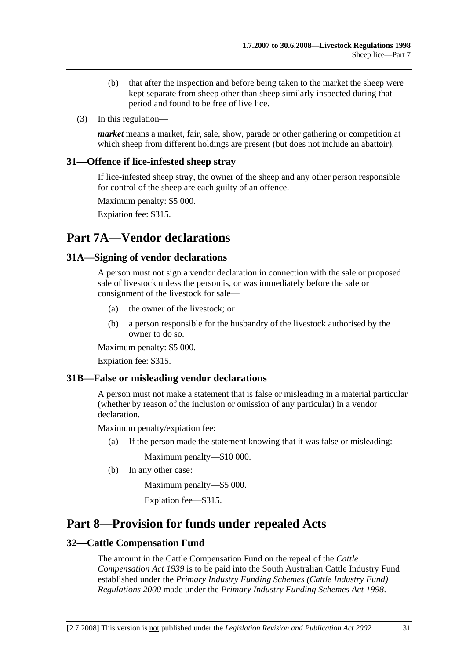- (b) that after the inspection and before being taken to the market the sheep were kept separate from sheep other than sheep similarly inspected during that period and found to be free of live lice.
- (3) In this regulation—

*market* means a market, fair, sale, show, parade or other gathering or competition at which sheep from different holdings are present (but does not include an abattoir).

#### **31—Offence if lice-infested sheep stray**

If lice-infested sheep stray, the owner of the sheep and any other person responsible for control of the sheep are each guilty of an offence.

Maximum penalty: \$5 000.

Expiation fee: \$315.

# **Part 7A—Vendor declarations**

#### **31A—Signing of vendor declarations**

A person must not sign a vendor declaration in connection with the sale or proposed sale of livestock unless the person is, or was immediately before the sale or consignment of the livestock for sale—

- (a) the owner of the livestock; or
- (b) a person responsible for the husbandry of the livestock authorised by the owner to do so.

Maximum penalty: \$5 000.

Expiation fee: \$315.

#### **31B—False or misleading vendor declarations**

A person must not make a statement that is false or misleading in a material particular (whether by reason of the inclusion or omission of any particular) in a vendor declaration.

Maximum penalty/expiation fee:

(a) If the person made the statement knowing that it was false or misleading:

Maximum penalty—\$10 000.

(b) In any other case:

Maximum penalty—\$5 000.

Expiation fee—\$315.

# **Part 8—Provision for funds under repealed Acts**

### **32—Cattle Compensation Fund**

The amount in the Cattle Compensation Fund on the repeal of the *Cattle Compensation Act 1939* is to be paid into the South Australian Cattle Industry Fund established under the *Primary Industry Funding Schemes (Cattle Industry Fund) Regulations 2000* made under the *Primary Industry Funding Schemes Act 1998*.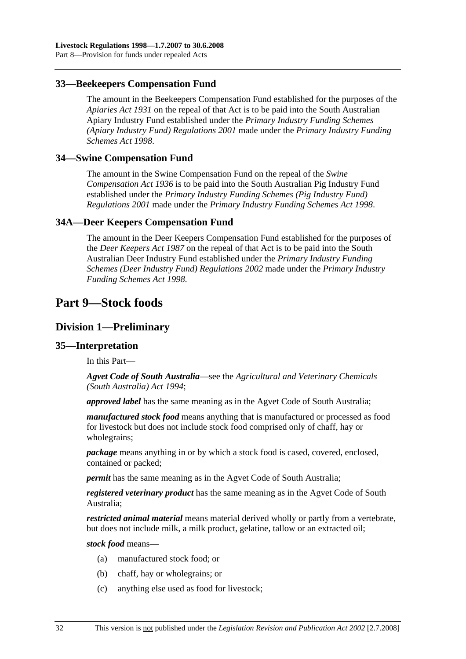### **33—Beekeepers Compensation Fund**

The amount in the Beekeepers Compensation Fund established for the purposes of the *Apiaries Act 1931* on the repeal of that Act is to be paid into the South Australian Apiary Industry Fund established under the *Primary Industry Funding Schemes (Apiary Industry Fund) Regulations 2001* made under the *Primary Industry Funding Schemes Act 1998*.

#### **34—Swine Compensation Fund**

The amount in the Swine Compensation Fund on the repeal of the *Swine Compensation Act 1936* is to be paid into the South Australian Pig Industry Fund established under the *Primary Industry Funding Schemes (Pig Industry Fund) Regulations 2001* made under the *Primary Industry Funding Schemes Act 1998*.

#### **34A—Deer Keepers Compensation Fund**

The amount in the Deer Keepers Compensation Fund established for the purposes of the *Deer Keepers Act 1987* on the repeal of that Act is to be paid into the South Australian Deer Industry Fund established under the *Primary Industry Funding Schemes (Deer Industry Fund) Regulations 2002* made under the *Primary Industry Funding Schemes Act 1998*.

# **Part 9—Stock foods**

### **Division 1—Preliminary**

#### **35—Interpretation**

In this Part—

*Agvet Code of South Australia*—see the *Agricultural and Veterinary Chemicals (South Australia) Act 1994*;

*approved label* has the same meaning as in the Agvet Code of South Australia;

*manufactured stock food* means anything that is manufactured or processed as food for livestock but does not include stock food comprised only of chaff, hay or wholegrains;

*package* means anything in or by which a stock food is cased, covered, enclosed, contained or packed;

*permit* has the same meaning as in the Agvet Code of South Australia;

*registered veterinary product* has the same meaning as in the Agvet Code of South Australia;

*restricted animal material* means material derived wholly or partly from a vertebrate, but does not include milk, a milk product, gelatine, tallow or an extracted oil;

*stock food* means—

- (a) manufactured stock food; or
- (b) chaff, hay or wholegrains; or
- (c) anything else used as food for livestock;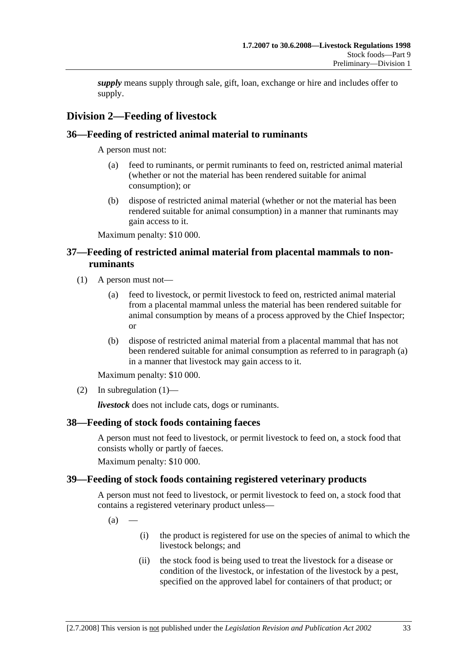*supply* means supply through sale, gift, loan, exchange or hire and includes offer to supply.

# **Division 2—Feeding of livestock**

## **36—Feeding of restricted animal material to ruminants**

A person must not:

- (a) feed to ruminants, or permit ruminants to feed on, restricted animal material (whether or not the material has been rendered suitable for animal consumption); or
- (b) dispose of restricted animal material (whether or not the material has been rendered suitable for animal consumption) in a manner that ruminants may gain access to it.

Maximum penalty: \$10 000.

## **37—Feeding of restricted animal material from placental mammals to nonruminants**

- (1) A person must not—
	- (a) feed to livestock, or permit livestock to feed on, restricted animal material from a placental mammal unless the material has been rendered suitable for animal consumption by means of a process approved by the Chief Inspector; or
	- (b) dispose of restricted animal material from a placental mammal that has not been rendered suitable for animal consumption as referred to in paragraph (a) in a manner that livestock may gain access to it.

Maximum penalty: \$10 000.

(2) In subregulation  $(1)$ —

*livestock* does not include cats, dogs or ruminants.

## **38—Feeding of stock foods containing faeces**

A person must not feed to livestock, or permit livestock to feed on, a stock food that consists wholly or partly of faeces.

Maximum penalty: \$10 000.

## **39—Feeding of stock foods containing registered veterinary products**

A person must not feed to livestock, or permit livestock to feed on, a stock food that contains a registered veterinary product unless—

 $(a)$ 

- (i) the product is registered for use on the species of animal to which the livestock belongs; and
- (ii) the stock food is being used to treat the livestock for a disease or condition of the livestock, or infestation of the livestock by a pest, specified on the approved label for containers of that product; or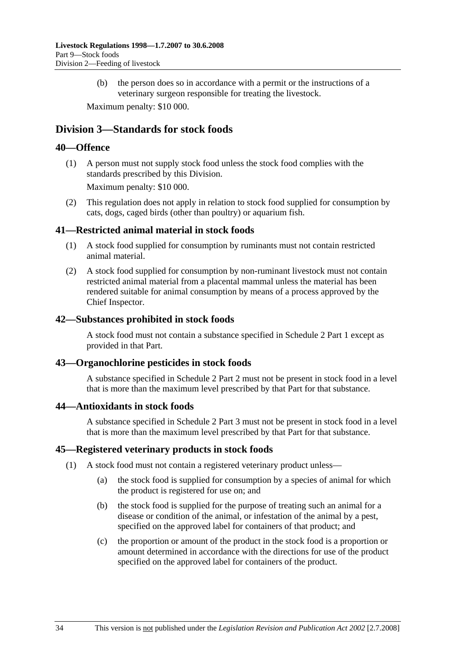(b) the person does so in accordance with a permit or the instructions of a veterinary surgeon responsible for treating the livestock.

Maximum penalty: \$10 000.

## **Division 3—Standards for stock foods**

## **40—Offence**

 (1) A person must not supply stock food unless the stock food complies with the standards prescribed by this Division.

Maximum penalty: \$10 000.

 (2) This regulation does not apply in relation to stock food supplied for consumption by cats, dogs, caged birds (other than poultry) or aquarium fish.

### **41—Restricted animal material in stock foods**

- (1) A stock food supplied for consumption by ruminants must not contain restricted animal material.
- (2) A stock food supplied for consumption by non-ruminant livestock must not contain restricted animal material from a placental mammal unless the material has been rendered suitable for animal consumption by means of a process approved by the Chief Inspector.

#### **42—Substances prohibited in stock foods**

A stock food must not contain a substance specified in Schedule 2 Part 1 except as provided in that Part.

## **43—Organochlorine pesticides in stock foods**

A substance specified in Schedule 2 Part 2 must not be present in stock food in a level that is more than the maximum level prescribed by that Part for that substance.

#### **44—Antioxidants in stock foods**

A substance specified in Schedule 2 Part 3 must not be present in stock food in a level that is more than the maximum level prescribed by that Part for that substance.

#### **45—Registered veterinary products in stock foods**

- (1) A stock food must not contain a registered veterinary product unless—
	- (a) the stock food is supplied for consumption by a species of animal for which the product is registered for use on; and
	- (b) the stock food is supplied for the purpose of treating such an animal for a disease or condition of the animal, or infestation of the animal by a pest, specified on the approved label for containers of that product; and
	- (c) the proportion or amount of the product in the stock food is a proportion or amount determined in accordance with the directions for use of the product specified on the approved label for containers of the product.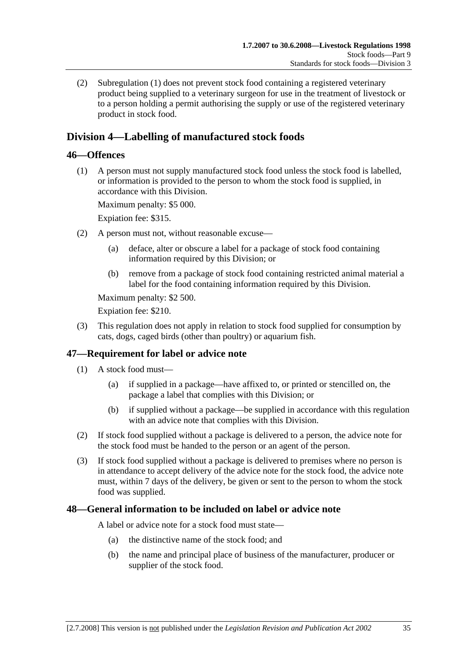(2) Subregulation (1) does not prevent stock food containing a registered veterinary product being supplied to a veterinary surgeon for use in the treatment of livestock or to a person holding a permit authorising the supply or use of the registered veterinary product in stock food.

# **Division 4—Labelling of manufactured stock foods**

## **46—Offences**

 (1) A person must not supply manufactured stock food unless the stock food is labelled, or information is provided to the person to whom the stock food is supplied, in accordance with this Division.

Maximum penalty: \$5 000.

Expiation fee: \$315.

- (2) A person must not, without reasonable excuse—
	- (a) deface, alter or obscure a label for a package of stock food containing information required by this Division; or
	- (b) remove from a package of stock food containing restricted animal material a label for the food containing information required by this Division.

Maximum penalty: \$2 500.

Expiation fee: \$210.

 (3) This regulation does not apply in relation to stock food supplied for consumption by cats, dogs, caged birds (other than poultry) or aquarium fish.

## **47—Requirement for label or advice note**

- (1) A stock food must—
	- (a) if supplied in a package—have affixed to, or printed or stencilled on, the package a label that complies with this Division; or
	- (b) if supplied without a package—be supplied in accordance with this regulation with an advice note that complies with this Division.
- (2) If stock food supplied without a package is delivered to a person, the advice note for the stock food must be handed to the person or an agent of the person.
- (3) If stock food supplied without a package is delivered to premises where no person is in attendance to accept delivery of the advice note for the stock food, the advice note must, within 7 days of the delivery, be given or sent to the person to whom the stock food was supplied.

## **48—General information to be included on label or advice note**

A label or advice note for a stock food must state—

- (a) the distinctive name of the stock food; and
- (b) the name and principal place of business of the manufacturer, producer or supplier of the stock food.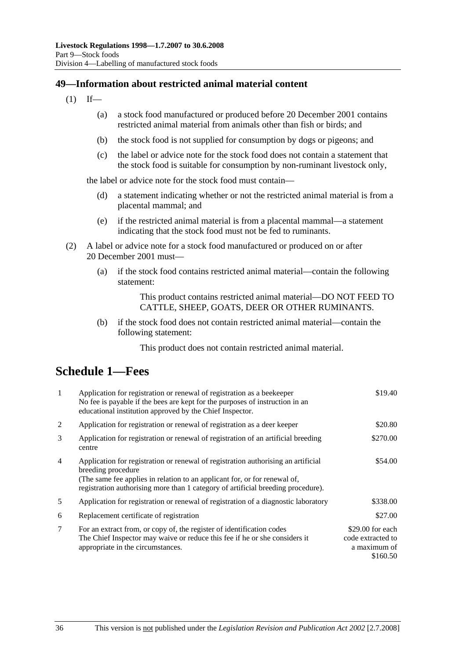## **49—Information about restricted animal material content**

- $(1)$  If—
	- (a) a stock food manufactured or produced before 20 December 2001 contains restricted animal material from animals other than fish or birds; and
	- (b) the stock food is not supplied for consumption by dogs or pigeons; and
	- (c) the label or advice note for the stock food does not contain a statement that the stock food is suitable for consumption by non-ruminant livestock only,

the label or advice note for the stock food must contain—

- (d) a statement indicating whether or not the restricted animal material is from a placental mammal; and
- (e) if the restricted animal material is from a placental mammal—a statement indicating that the stock food must not be fed to ruminants.
- (2) A label or advice note for a stock food manufactured or produced on or after 20 December 2001 must—
	- (a) if the stock food contains restricted animal material—contain the following statement:

This product contains restricted animal material—DO NOT FEED TO CATTLE, SHEEP, GOATS, DEER OR OTHER RUMINANTS.

 (b) if the stock food does not contain restricted animal material—contain the following statement:

This product does not contain restricted animal material.

# **Schedule 1—Fees**

| $\mathbf{1}$   | Application for registration or renewal of registration as a beekeeper<br>No fee is payable if the bees are kept for the purposes of instruction in an<br>educational institution approved by the Chief Inspector.                                                       | \$19.40                                                            |
|----------------|--------------------------------------------------------------------------------------------------------------------------------------------------------------------------------------------------------------------------------------------------------------------------|--------------------------------------------------------------------|
| 2              | Application for registration or renewal of registration as a deer keeper                                                                                                                                                                                                 | \$20.80                                                            |
| 3              | Application for registration or renewal of registration of an artificial breeding<br>centre                                                                                                                                                                              | \$270.00                                                           |
| $\overline{4}$ | Application for registration or renewal of registration authorising an artificial<br>breeding procedure<br>(The same fee applies in relation to an applicant for, or for renewal of,<br>registration authorising more than 1 category of artificial breeding procedure). | \$54.00                                                            |
| 5              | Application for registration or renewal of registration of a diagnostic laboratory                                                                                                                                                                                       | \$338.00                                                           |
| 6              | Replacement certificate of registration                                                                                                                                                                                                                                  | \$27.00                                                            |
| 7              | For an extract from, or copy of, the register of identification codes<br>The Chief Inspector may waive or reduce this fee if he or she considers it<br>appropriate in the circumstances.                                                                                 | $$29.00$ for each<br>code extracted to<br>a maximum of<br>\$160.50 |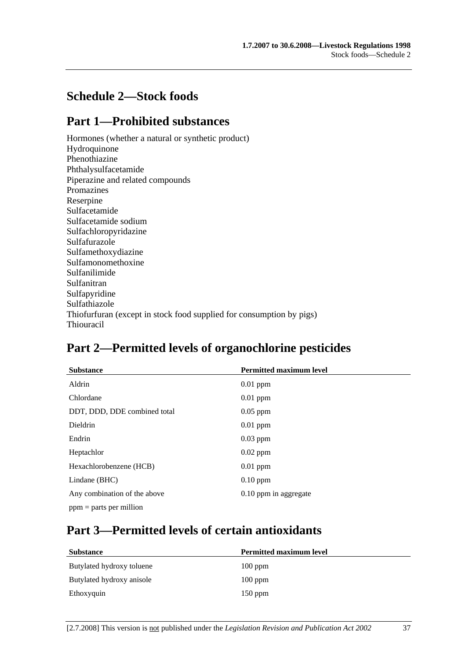# **Schedule 2—Stock foods**

# **Part 1—Prohibited substances**

Hormones (whether a natural or synthetic product) Hydroquinone Phenothiazine Phthalysulfacetamide Piperazine and related compounds Promazines Reserpine Sulfacetamide Sulfacetamide sodium Sulfachloropyridazine Sulfafurazole Sulfamethoxydiazine Sulfamonomethoxine Sulfanilimide Sulfanitran Sulfapyridine Sulfathiazole Thiofurfuran (except in stock food supplied for consumption by pigs) Thiouracil

# **Part 2—Permitted levels of organochlorine pesticides**

| <b>Substance</b>             | <b>Permitted maximum level</b> |
|------------------------------|--------------------------------|
| Aldrin                       | $0.01$ ppm                     |
| Chlordane                    | $0.01$ ppm                     |
| DDT, DDD, DDE combined total | $0.05$ ppm                     |
| <b>Dieldrin</b>              | $0.01$ ppm                     |
| Endrin                       | $0.03$ ppm                     |
| Heptachlor                   | $0.02$ ppm                     |
| Hexachlorobenzene (HCB)      | $0.01$ ppm                     |
| Lindane (BHC)                | $0.10$ ppm                     |
| Any combination of the above | 0.10 ppm in aggregate          |
| $ppm =$ parts per million    |                                |

# **Part 3—Permitted levels of certain antioxidants**

| <b>Permitted maximum level</b> |
|--------------------------------|
| $100$ ppm                      |
| $100$ ppm                      |
| $150$ ppm                      |
|                                |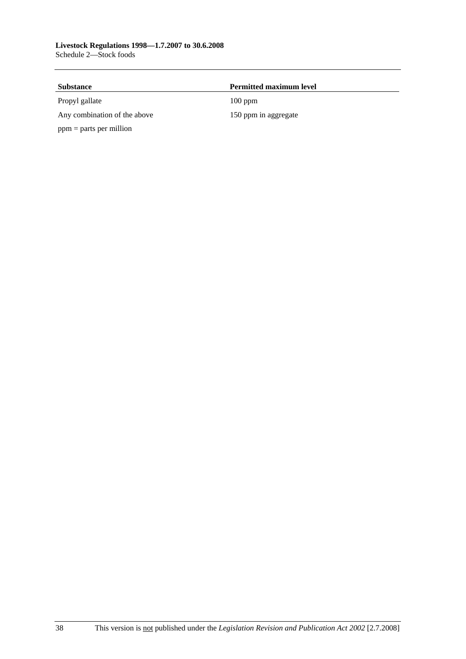| <b>Substance</b>             | <b>Permitted maximum level</b> |  |
|------------------------------|--------------------------------|--|
| Propyl gallate               | $100$ ppm                      |  |
| Any combination of the above | 150 ppm in aggregate           |  |
| $ppm = parts per million$    |                                |  |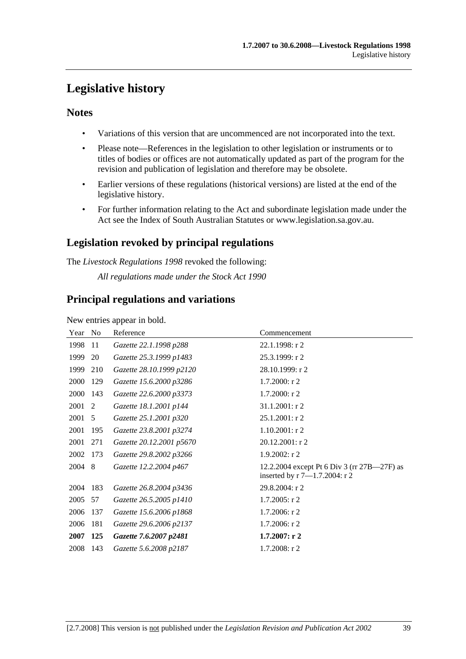# **Legislative history**

## **Notes**

- Variations of this version that are uncommenced are not incorporated into the text.
- Please note—References in the legislation to other legislation or instruments or to titles of bodies or offices are not automatically updated as part of the program for the revision and publication of legislation and therefore may be obsolete.
- Earlier versions of these regulations (historical versions) are listed at the end of the legislative history.
- For further information relating to the Act and subordinate legislation made under the Act see the Index of South Australian Statutes or www.legislation.sa.gov.au.

# **Legislation revoked by principal regulations**

The *Livestock Regulations 1998* revoked the following:

*All regulations made under the Stock Act 1990*

## **Principal regulations and variations**

New entries appear in bold.

| Year | No  | Reference                | Commencement                                                                        |
|------|-----|--------------------------|-------------------------------------------------------------------------------------|
| 1998 | 11  | Gazette 22.1.1998 p288   | $22.1.1998:$ r 2                                                                    |
| 1999 | 20  | Gazette 25.3.1999 p1483  | 25.3.1999: r 2                                                                      |
| 1999 | 210 | Gazette 28.10.1999 p2120 | 28.10.1999: r 2                                                                     |
| 2000 | 129 | Gazette 15.6.2000 p3286  | $1.7.2000:$ r 2                                                                     |
| 2000 | 143 | Gazette 22.6.2000 p3373  | $1.7.2000:$ r 2                                                                     |
| 2001 | 2   | Gazette 18.1.2001 p144   | $31.1.2001:$ r 2                                                                    |
| 2001 | 5   | Gazette 25.1.2001 p320   | 25.1.2001: r 2                                                                      |
| 2001 | 195 | Gazette 23.8.2001 p3274  | $1.10.2001:$ r2                                                                     |
| 2001 | 271 | Gazette 20.12.2001 p5670 | 20.12.2001: r 2                                                                     |
| 2002 | 173 | Gazette 29.8.2002 p3266  | $1.9.2002:$ r 2                                                                     |
| 2004 | 8   | Gazette 12.2.2004 p467   | 12.2.2004 except Pt 6 Div 3 (rr 27B—27F) as<br>inserted by $r 7 - 1.7.2004$ : $r 2$ |
| 2004 | 183 | Gazette 26.8.2004 p3436  | 29.8.2004: r 2                                                                      |
| 2005 | 57  | Gazette 26.5.2005 p1410  | $1.7.2005$ : r 2                                                                    |
| 2006 | 137 | Gazette 15.6.2006 p1868  | $1.7.2006$ : r 2                                                                    |
| 2006 | 181 | Gazette 29.6.2006 p2137  | $1.7.2006$ : r 2                                                                    |
| 2007 | 125 | Gazette 7.6.2007 p2481   | 1.7.2007: r2                                                                        |
| 2008 | 143 | Gazette 5.6.2008 p2187   | $1.7.2008:$ r 2                                                                     |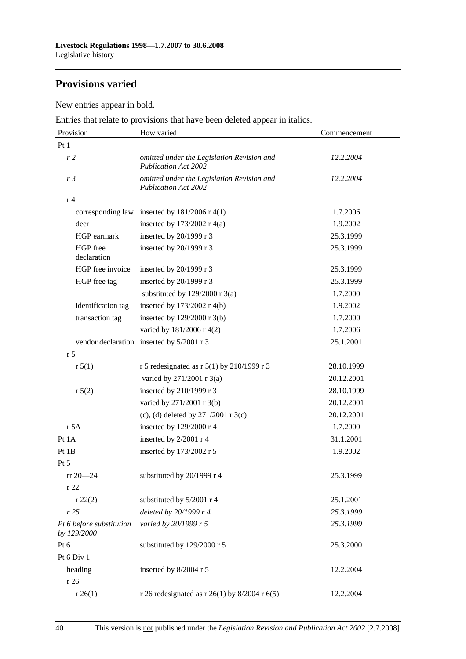# **Provisions varied**

New entries appear in bold.

Entries that relate to provisions that have been deleted appear in italics.

| Provision                               | How varied                                                                | Commencement |
|-----------------------------------------|---------------------------------------------------------------------------|--------------|
| Pt1                                     |                                                                           |              |
| r <sub>2</sub>                          | omitted under the Legislation Revision and<br><b>Publication Act 2002</b> | 12.2.2004    |
| r <sub>3</sub>                          | omitted under the Legislation Revision and<br><b>Publication Act 2002</b> | 12.2.2004    |
| r <sub>4</sub>                          |                                                                           |              |
| corresponding law                       | inserted by $181/2006$ r 4(1)                                             | 1.7.2006     |
| deer                                    | inserted by $173/2002$ r 4(a)                                             | 1.9.2002     |
| HGP earmark                             | inserted by 20/1999 r 3                                                   | 25.3.1999    |
| HGP free<br>declaration                 | inserted by 20/1999 r 3                                                   | 25.3.1999    |
| HGP free invoice                        | inserted by $20/1999$ r 3                                                 | 25.3.1999    |
| HGP free tag                            | inserted by 20/1999 r 3                                                   | 25.3.1999    |
|                                         | substituted by $129/2000$ r 3(a)                                          | 1.7.2000     |
| identification tag                      | inserted by $173/2002$ r 4(b)                                             | 1.9.2002     |
| transaction tag                         | inserted by 129/2000 r 3(b)                                               | 1.7.2000     |
|                                         | varied by 181/2006 r 4(2)                                                 | 1.7.2006     |
|                                         | vendor declaration inserted by 5/2001 r 3                                 | 25.1.2001    |
| r <sub>5</sub>                          |                                                                           |              |
| r 5(1)                                  | r 5 redesignated as r 5(1) by 210/1999 r 3                                | 28.10.1999   |
|                                         | varied by 271/2001 r 3(a)                                                 | 20.12.2001   |
| r 5(2)                                  | inserted by 210/1999 r 3                                                  | 28.10.1999   |
|                                         | varied by 271/2001 r 3(b)                                                 | 20.12.2001   |
|                                         | (c), (d) deleted by $271/2001$ r 3(c)                                     | 20.12.2001   |
| r 5A                                    | inserted by 129/2000 r 4                                                  | 1.7.2000     |
| Pt 1A                                   | inserted by 2/2001 r 4                                                    | 31.1.2001    |
| Pt 1B                                   | inserted by 173/2002 r 5                                                  | 1.9.2002     |
| Pt 5                                    |                                                                           |              |
| $rr 20 - 24$                            | substituted by $20/1999$ r 4                                              | 25.3.1999    |
| r22                                     |                                                                           |              |
| r 22(2)                                 | substituted by 5/2001 r 4                                                 | 25.1.2001    |
| r25                                     | deleted by 20/1999 r 4                                                    | 25.3.1999    |
| Pt 6 before substitution<br>by 129/2000 | varied by 20/1999 r 5                                                     | 25.3.1999    |
| Pt 6                                    | substituted by 129/2000 r 5                                               | 25.3.2000    |
| Pt 6 Div 1                              |                                                                           |              |
| heading                                 | inserted by 8/2004 r 5                                                    | 12.2.2004    |
| r 26                                    |                                                                           |              |
| r 26(1)                                 | r 26 redesignated as r 26(1) by 8/2004 r 6(5)                             | 12.2.2004    |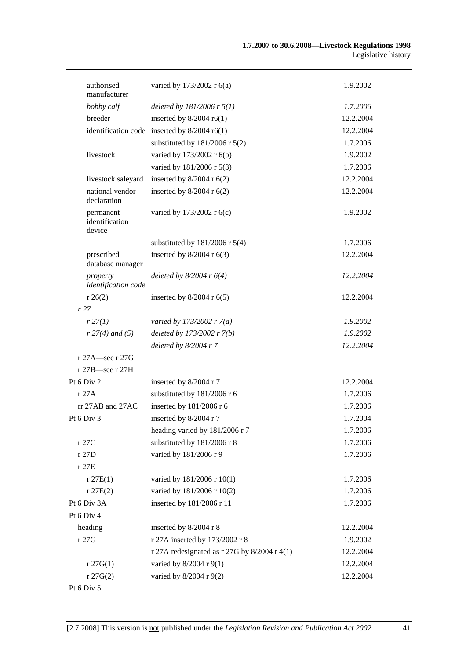| authorised<br>manufacturer            | varied by 173/2002 r 6(a)                      | 1.9.2002  |
|---------------------------------------|------------------------------------------------|-----------|
| bobby calf                            | deleted by $181/2006$ r $5(1)$                 | 1.7.2006  |
| breeder                               | inserted by $8/2004$ r6(1)                     | 12.2.2004 |
|                                       | identification code inserted by $8/2004$ r6(1) | 12.2.2004 |
|                                       | substituted by $181/2006$ r $5(2)$             | 1.7.2006  |
| livestock                             | varied by 173/2002 r 6(b)                      | 1.9.2002  |
|                                       | varied by 181/2006 r 5(3)                      | 1.7.2006  |
| livestock saleyard                    | inserted by $8/2004$ r $6(2)$                  | 12.2.2004 |
| national vendor<br>declaration        | inserted by $8/2004$ r $6(2)$                  | 12.2.2004 |
| permanent<br>identification<br>device | varied by 173/2002 r 6(c)                      | 1.9.2002  |
|                                       | substituted by $181/2006$ r $5(4)$             | 1.7.2006  |
| prescribed<br>database manager        | inserted by $8/2004$ r $6(3)$                  | 12.2.2004 |
| property<br>identification code       | deleted by $8/2004$ r $6(4)$                   | 12.2.2004 |
| r 26(2)                               | inserted by $8/2004$ r $6(5)$                  | 12.2.2004 |
| r27                                   |                                                |           |
| r 27(1)                               | varied by 173/2002 r $7(a)$                    | 1.9.2002  |
| $r 27(4)$ and (5)                     | deleted by 173/2002 r 7(b)                     | 1.9.2002  |
|                                       | deleted by $8/2004$ r 7                        | 12.2.2004 |
| r 27A-see r 27G<br>r 27B-see r 27H    |                                                |           |
| Pt 6 Div 2                            | inserted by 8/2004 r 7                         | 12.2.2004 |
| r 27A                                 | substituted by 181/2006 r 6                    | 1.7.2006  |
| $rr$ 27AB and 27AC                    | inserted by 181/2006 r 6                       | 1.7.2006  |
| Pt 6 Div 3                            | inserted by 8/2004 r 7                         | 1.7.2004  |
|                                       | heading varied by 181/2006 r 7                 | 1.7.2006  |
| r 27C                                 | substituted by 181/2006 r 8                    | 1.7.2006  |
| r 27D                                 | varied by 181/2006 r 9                         | 1.7.2006  |
| r 27E                                 |                                                |           |
| r 27E(1)                              | varied by 181/2006 r 10(1)                     | 1.7.2006  |
| r 27E(2)                              | varied by 181/2006 r 10(2)                     | 1.7.2006  |
| Pt 6 Div 3A                           | inserted by 181/2006 r 11                      | 1.7.2006  |
| Pt 6 Div 4                            |                                                |           |
| heading                               | inserted by 8/2004 r 8                         | 12.2.2004 |
| r 27G                                 | r 27A inserted by 173/2002 r 8                 | 1.9.2002  |
|                                       | r 27A redesignated as r 27G by $8/2004$ r 4(1) | 12.2.2004 |
| $r \, 27G(1)$                         | varied by 8/2004 r 9(1)                        | 12.2.2004 |
| $r \, 27G(2)$                         | varied by 8/2004 r 9(2)                        | 12.2.2004 |
|                                       |                                                |           |

Pt 6 Div 5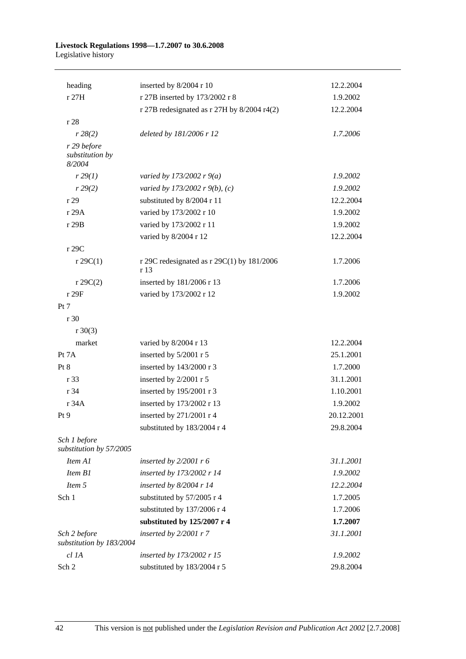#### **Livestock Regulations 1998—1.7.2007 to 30.6.2008**  Legislative history

| heading                                  | inserted by 8/2004 r 10                              | 12.2.2004  |
|------------------------------------------|------------------------------------------------------|------------|
| r 27H                                    | r 27B inserted by 173/2002 r 8                       | 1.9.2002   |
|                                          | r 27B redesignated as $r$ 27H by 8/2004 r4(2)        | 12.2.2004  |
| r 28                                     |                                                      |            |
| r 28(2)                                  | deleted by 181/2006 r 12                             | 1.7.2006   |
| r 29 before<br>substitution by<br>8/2004 |                                                      |            |
| r 29(1)                                  | varied by 173/2002 r $9(a)$                          | 1.9.2002   |
| r 29(2)                                  | varied by 173/2002 r 9(b), (c)                       | 1.9.2002   |
| r29                                      | substituted by 8/2004 r 11                           | 12.2.2004  |
| r 29A                                    | varied by 173/2002 r 10                              | 1.9.2002   |
| r 29B                                    | varied by 173/2002 r 11                              | 1.9.2002   |
|                                          | varied by 8/2004 r 12                                | 12.2.2004  |
| r 29C                                    |                                                      |            |
| $r \, 29C(1)$                            | r 29C redesignated as r 29C(1) by $181/2006$<br>r 13 | 1.7.2006   |
| $r \, 29C(2)$                            | inserted by 181/2006 r 13                            | 1.7.2006   |
| r 29F                                    | varied by 173/2002 r 12                              | 1.9.2002   |
| Pt 7                                     |                                                      |            |
| r 30                                     |                                                      |            |
| $r \ 30(3)$                              |                                                      |            |
| market                                   | varied by 8/2004 r 13                                | 12.2.2004  |
| Pt 7A                                    | inserted by 5/2001 r 5                               | 25.1.2001  |
| Pt 8                                     | inserted by 143/2000 r 3                             | 1.7.2000   |
| r 33                                     | inserted by 2/2001 r 5                               | 31.1.2001  |
| r 34                                     | inserted by 195/2001 r 3                             | 1.10.2001  |
| r 34A                                    | inserted by 173/2002 r 13                            | 1.9.2002   |
| Pt 9                                     | inserted by 271/2001 r 4                             | 20.12.2001 |
|                                          | substituted by 183/2004 r 4                          | 29.8.2004  |
| Sch 1 before<br>substitution by 57/2005  |                                                      |            |
| Item A1                                  | inserted by $2/2001$ r 6                             | 31.1.2001  |
| Item B1                                  | inserted by 173/2002 r 14                            | 1.9.2002   |
| Item 5                                   | inserted by $8/2004$ r 14                            | 12.2.2004  |
| Sch <sub>1</sub>                         | substituted by 57/2005 r 4                           | 1.7.2005   |
|                                          | substituted by 137/2006 r 4                          | 1.7.2006   |
|                                          | substituted by 125/2007 r 4                          | 1.7.2007   |
| Sch 2 before<br>substitution by 183/2004 | inserted by $2/2001 r 7$                             | 31.1.2001  |
| $cl$ 1A                                  | inserted by 173/2002 r 15                            | 1.9.2002   |
| Sch 2                                    | substituted by 183/2004 r 5                          | 29.8.2004  |